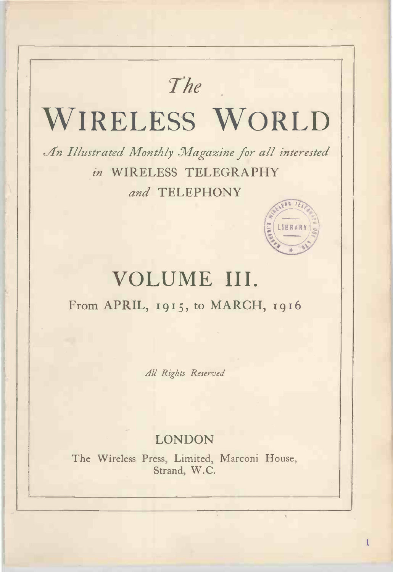The

# **WIRELESS WORLD**

An Illustrated Monthly Magazine for all interested in WIRELESS TELEGRAPHY and TELEPHONY



**BRAR** 

### From APRIL, 1915, to MARCH, 1916

All Rights Reserved

### **LONDON**

The Wireless Press, Limited, Marconi House, Strand, W.C.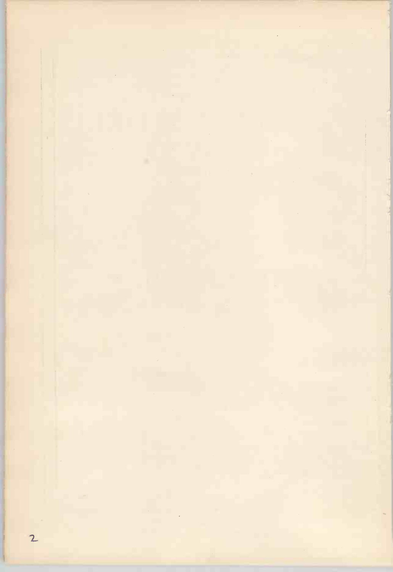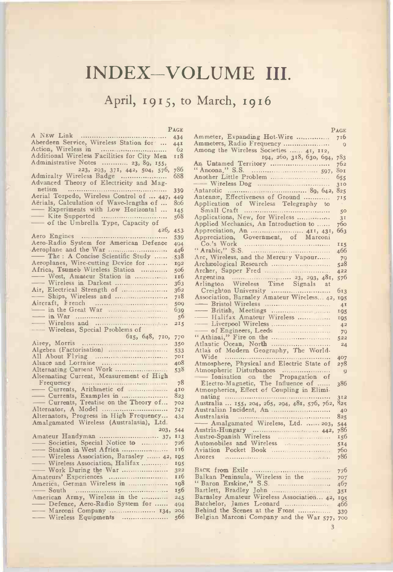## INDEX-VOLUME III.

### April, 1915, to March, 1916

|                                                          | PAGE             |                                         |
|----------------------------------------------------------|------------------|-----------------------------------------|
|                                                          | 434              | Ammete                                  |
|                                                          | 44I              | Ammete                                  |
|                                                          | 62               | Among                                   |
| Additional Wireless Facilities for City Men              | 118              |                                         |
| Administrative Notes  23, 89, 155,                       |                  | An Unts                                 |
| 223, 293, 371, 442, 504, 576,                            | 786              | " Ancon                                 |
| Admiralty Wireless Badge                                 | 688              | Another                                 |
| Advanced Theory of Electricity and Mag-                  |                  | $-$ Wi                                  |
| netism                                                   | 339              | Antarcti                                |
| Aerial Torpedo, Wireless Control of  447,                | 449              | Antennæ                                 |
| Aërials, Calculation of Wave-lengths of                  | 8 <sub>0</sub> 6 |                                         |
|                                                          |                  | Applicat                                |
|                                                          | 145<br>568       | Small                                   |
|                                                          |                  | Applicat                                |
|                                                          |                  | Applied                                 |
|                                                          | 426,<br>$453 -$  | Apprecia                                |
|                                                          | 539              | Appreci                                 |
|                                                          | 494              | Co.'s                                   |
| Aeroplane and the War                                    | 446              | "Arabio                                 |
| -The: A Concise Scientific Study                         | 538              | Arc, Wi                                 |
| Aeroplanes, Wire-cutting Device for                      | 192              | Archæol                                 |
| Africa, Tsumeb Wireless Station                          | 506              | Archer,                                 |
|                                                          | 116              | Argentii                                |
|                                                          | 363              | Arlingto                                |
| Air, Electrical Strength of                              | 362              | Creigl                                  |
|                                                          | 718              | Associat                                |
|                                                          | 500              | $\frac{Br}{Bf}$                         |
| Aircraft, French<br>in the Great War<br>in War<br>in War | 639              |                                         |
|                                                          | 56               | $-\mathbf{H}$                           |
| Wireless and<br>Wireless, Special Problems of            | 215              | $-$ Li                                  |
|                                                          |                  |                                         |
| 615, 648, 710,                                           | 770              | " Athing                                |
|                                                          | 350              | Atlantic                                |
| Algebra (Factorisation)                                  | 533              | Atlas o                                 |
|                                                          | 701<br>408       | Wide                                    |
| Alternating Current Work                                 | 538              | Atmospl                                 |
| Alternating Current, Measurement of High                 |                  | Atmospl<br>$\overline{\phantom{a}}$ Ior |
|                                                          | 78               | Electr                                  |
|                                                          | 410              | Atmospl                                 |
|                                                          | 823              | nating                                  |
|                                                          | 702              | Australi                                |
|                                                          | 747              | Australi                                |
| Alternators, Progress in High Frequency                  | 434              | Australa                                |
| Amalgamated Wireless (Australasia), Ltd.                 |                  | $\overline{\phantom{1}}$ An             |
|                                                          | 203,<br>544      | Austria-                                |
|                                                          | II3              | Austro-S                                |
| -Societies, Special Notice to                            | 726              | Automol                                 |
|                                                          | 116              | Aviation                                |
| - Wireless Association, Barnsley  42,                    | 195              | Azores                                  |
| - Wireless Association, Halifax                          | 195              |                                         |
| - Work During the War                                    | 322              | BACK fr                                 |
| Amateurs' Experiences                                    | 116              | Balkan                                  |
| America, German Wireless in                              | 108              | "Baron                                  |
|                                                          | 156              | <b>Bartlett</b>                         |
| American Army, Wireless in the                           | 245              | <b>Barnsle</b>                          |
| - Defence, Aero-Radio System for                         | 494              | Batchelo                                |
| - Marconi Company  134,                                  | 204              | Behind                                  |
| - Wireless Equipments                                    | 566              | Belgian                                 |
|                                                          |                  |                                         |

| $\mathbf{P}\mathbf{A}\mathbf{G}\mathbf{E}$ |                                                                          | PAGE            |  |
|--------------------------------------------|--------------------------------------------------------------------------|-----------------|--|
| 434                                        | Ammeter, Expanding Hot-Wire                                              | 716             |  |
| 44I                                        | Ammeters, Radio Frequency                                                | Q               |  |
| 62                                         | Among the Wireless Societies  41, 112,                                   |                 |  |
| 118                                        | 194, 260, 318, 630, 694,                                                 | 783             |  |
|                                            | An Untamed Territory                                                     | 762             |  |
| 786                                        |                                                                          |                 |  |
| 688                                        |                                                                          | 655             |  |
|                                            |                                                                          | 310             |  |
| 339                                        |                                                                          |                 |  |
| , 449                                      | Antennæ, Effectiveness of Ground                                         | 715             |  |
| 806                                        | Application of Wireless Telegraphy to                                    |                 |  |
| 145                                        |                                                                          | 50              |  |
| 568                                        | Applications, New, for Wireless                                          | 31              |  |
|                                            | Applied Mechanics, An Introduction to                                    | 760             |  |
| $453 -$                                    | Appreciation, An  411, 431, 663                                          |                 |  |
| 539                                        |                                                                          |                 |  |
| 494                                        | Appreciation, Government, of Marconi<br>Co.'s Work<br>"Arabic," S.S.     | II5             |  |
| 446                                        |                                                                          | 466             |  |
| 538                                        | Arc, Wireless, and the Mercury Vapour                                    | 79              |  |
| 192                                        |                                                                          | 528             |  |
| 506                                        |                                                                          | 422             |  |
| 116                                        | Argentina  23, 293, 481,                                                 | 576             |  |
| 363                                        | Arlington Wireless Time Signals at                                       |                 |  |
| 362                                        | Creighton University                                                     | 613             |  |
| 718                                        | Association, Barnsley Amateur Wireless 42, 195                           |                 |  |
| 500                                        |                                                                          |                 |  |
| 639                                        |                                                                          | 4I              |  |
| 56                                         | - Halifax Amateur Wireless                                               | 195             |  |
| 215                                        |                                                                          | 195             |  |
|                                            |                                                                          | 4 <sup>2</sup>  |  |
| 770                                        |                                                                          | 79              |  |
| 350                                        |                                                                          | 522             |  |
| 533                                        | Atlas of Modern Geography, The World-                                    | 24              |  |
| 70I                                        |                                                                          | 407             |  |
| 408                                        | Atmosphere, Physical and Electric State of                               | 278             |  |
| 538                                        | Atmospheric Disturbances                                                 |                 |  |
|                                            |                                                                          | g               |  |
| 78                                         | - Ionisation on the Propagation of<br>Electro-Magnetic, The Influence of | 386             |  |
| 410                                        | Atmospherics, Effect of Coupling in Elimi-                               |                 |  |
| 823                                        |                                                                          | 312             |  |
| 702                                        | Australia  155, 204, 265, 294, 481, 576, 762,                            | 825             |  |
| 747                                        | Australian Incident, An                                                  | 40              |  |
| 434                                        |                                                                          | 825             |  |
|                                            | - Amalgamated Wireless, Ltd.  203,                                       | 544             |  |
| , 544                                      |                                                                          | 786             |  |
| $, \tI13$                                  |                                                                          | 156             |  |
| 726                                        |                                                                          | 514             |  |
| 116                                        | Automobiles and Wireless<br>Aviation Pocket Book                         | 760             |  |
| :, 195                                     | Azores                                                                   | 786             |  |
| 195                                        |                                                                          |                 |  |
| 322                                        |                                                                          | 776             |  |
| 116                                        | Balkan Peninsula, Wireless in the                                        | 707             |  |
| 108                                        |                                                                          | 407             |  |
| 156                                        |                                                                          | 35 <sup>1</sup> |  |
| 245                                        | Barnsley Amateur Wireless Association 42, 195                            |                 |  |
| 494                                        |                                                                          |                 |  |
| , 204                                      | Behind the Scenes at the Front                                           |                 |  |
| 566                                        | Belgian Marconi Company and the War 577, 700                             | 339             |  |
|                                            |                                                                          |                 |  |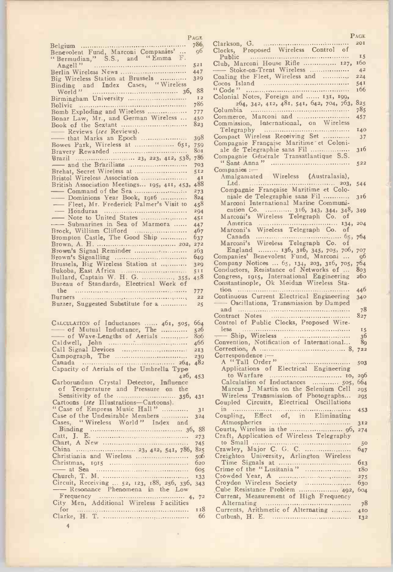|                                                                                               | PAGE                   |                     |
|-----------------------------------------------------------------------------------------------|------------------------|---------------------|
| Belgium<br>Benevolent Fund, Marconi Companies'<br>"Bermudian," S.S., and "Emma F.<br>Angell " | 786,                   | Clarkson,           |
|                                                                                               | Q <sub>0</sub>         | Clocks,             |
|                                                                                               |                        |                     |
| Angell"                                                                                       | 521                    | Club, Ma<br>- Stok  |
| Berlin Wireless News                                                                          | 447                    |                     |
| Big Wireless Station at Brussels<br>Binding and Index Cases, "Wireless                        | 329                    | Coaling th          |
|                                                                                               |                        | Cocos Isl           |
| World"                                                                                        | 88                     | "Code"              |
| Birmingham University                                                                         | 12                     | Colonial 1          |
|                                                                                               | 786                    | 264<br>Columbia     |
| Bomb Exploding and Wireless                                                                   | 777                    | Commerce            |
| Bonar Law, Mr., and German Wireless                                                           | 450<br>823             | Commissi            |
| -Reviews (see Reviews).                                                                       |                        | Telegra             |
| that Marks an Epoch                                                                           | 398                    | Compact             |
| Bowes Park, Wireless at  651,                                                                 | 759                    | Compagni            |
|                                                                                               | 801                    | ale de '            |
|                                                                                               | 786                    | Compagni            |
|                                                                                               | 703                    | "Sant               |
| Brehat, Secret Wireless at                                                                    | 512                    | Companie            |
| Bristol Wireless Association                                                                  | 41                     | Amalga              |
| British Association Meetings 195, 411, 453,                                                   | 488                    | Ltd.                |
|                                                                                               | 273                    | Compag              |
| -Dominions Year Book, 1916                                                                    | 824                    | niale<br>Marcon     |
| - Fleet, Mr. Frederick Palmer's Visit to                                                      | 458                    | cation              |
| - Note to United States                                                                       | 294                    | Marcon              |
| -Submarines in Sea of Marmora                                                                 | 45 <sub>1</sub><br>447 | Amer                |
| Brock, William Clifford                                                                       | 467                    | Marcon              |
| Brompton Castle, The Good Ship                                                                | 637                    | Cana                |
|                                                                                               | 272                    | Marcon              |
| Brown's Signal Reminder                                                                       | 263                    | Engl                |
| Brown's Signalling                                                                            | 649                    | Companie            |
| Brussels, Big Wireless Station at                                                             | 329                    | Company             |
|                                                                                               | 511                    | Conductor           |
| Bullard, Captain W. H. G. , 355,                                                              | 458                    | Congress,           |
| Bureau of Standards, Electrical Work of                                                       |                        | Constantia          |
|                                                                                               | 777                    | tion<br>Continuou   |
| Buzzer, Suggested Substitute for a                                                            | 22<br>25               | — Osci              |
|                                                                                               |                        | and $\ldots$        |
|                                                                                               |                        | Contract            |
| CALCULATION of Inductances  461, 505,                                                         | 664                    | Control o           |
| -of Mutual Inductance, The                                                                    | $5^{26}$               | less                |
| of Wave-Lengths of Aerials                                                                    | 806                    | — Ship              |
|                                                                                               | 466                    | Conventio           |
| Call Signal Devices ,                                                                         | 213                    | Correction          |
|                                                                                               | 239                    | Correspor<br>A "Ta  |
|                                                                                               | 482                    | Applica             |
| 426, 453                                                                                      |                        | to W                |
| Carborundum Crystal Detector, Influence                                                       |                        | Calcula             |
| of Temperature and Pressure on the                                                            |                        | Marcus              |
| Sensitivity of the  356, 431                                                                  |                        | Wireles             |
| Cartoons (see Illustrations-Cartoons).                                                        |                        | Coupled             |
| "Case of Empress Music Hall"                                                                  | 3 <sup>T</sup>         | in                  |
| Case of the Undesirable Members                                                               | 324                    | Coupling            |
| "Wireless World" Index and<br>Cases,                                                          |                        | Atmosp              |
|                                                                                               | 88                     | Courts, V           |
|                                                                                               | 273                    | Craft, A            |
|                                                                                               | 745                    | to Sma              |
| China                                                                                         | 825                    | Crawley,            |
|                                                                                               | 500                    | Creightor<br>Time 9 |
|                                                                                               | 620<br>605             | Crime of            |
|                                                                                               | 133                    | Crowded             |
|                                                                                               | 343                    | Croydon             |
| - Resonance Phenomena in the Low                                                              |                        | Cube Res            |
|                                                                                               | 72                     | Current,            |
| City Men, Additional Wireless Facilities                                                      |                        | Alterna             |
| for                                                                                           | 118                    | Currents,           |
|                                                                                               | 66                     | Cutbush,            |

 $\overline{a}$ 

|                                          | PAGE                                                                                                                                                                                                                                                                                                                                                                                                                                                                                                                                                                                                                                                                                                                                                                                                                                                                                                                                                                                                                                                                                                                                                                                                                                                                                                                                                                                                                                                                                                                                            |
|------------------------------------------|-------------------------------------------------------------------------------------------------------------------------------------------------------------------------------------------------------------------------------------------------------------------------------------------------------------------------------------------------------------------------------------------------------------------------------------------------------------------------------------------------------------------------------------------------------------------------------------------------------------------------------------------------------------------------------------------------------------------------------------------------------------------------------------------------------------------------------------------------------------------------------------------------------------------------------------------------------------------------------------------------------------------------------------------------------------------------------------------------------------------------------------------------------------------------------------------------------------------------------------------------------------------------------------------------------------------------------------------------------------------------------------------------------------------------------------------------------------------------------------------------------------------------------------------------|
|                                          | 201                                                                                                                                                                                                                                                                                                                                                                                                                                                                                                                                                                                                                                                                                                                                                                                                                                                                                                                                                                                                                                                                                                                                                                                                                                                                                                                                                                                                                                                                                                                                             |
|                                          |                                                                                                                                                                                                                                                                                                                                                                                                                                                                                                                                                                                                                                                                                                                                                                                                                                                                                                                                                                                                                                                                                                                                                                                                                                                                                                                                                                                                                                                                                                                                                 |
|                                          | 15                                                                                                                                                                                                                                                                                                                                                                                                                                                                                                                                                                                                                                                                                                                                                                                                                                                                                                                                                                                                                                                                                                                                                                                                                                                                                                                                                                                                                                                                                                                                              |
|                                          | 160                                                                                                                                                                                                                                                                                                                                                                                                                                                                                                                                                                                                                                                                                                                                                                                                                                                                                                                                                                                                                                                                                                                                                                                                                                                                                                                                                                                                                                                                                                                                             |
|                                          | 4 <sup>2</sup>                                                                                                                                                                                                                                                                                                                                                                                                                                                                                                                                                                                                                                                                                                                                                                                                                                                                                                                                                                                                                                                                                                                                                                                                                                                                                                                                                                                                                                                                                                                                  |
|                                          | 224                                                                                                                                                                                                                                                                                                                                                                                                                                                                                                                                                                                                                                                                                                                                                                                                                                                                                                                                                                                                                                                                                                                                                                                                                                                                                                                                                                                                                                                                                                                                             |
|                                          | 541                                                                                                                                                                                                                                                                                                                                                                                                                                                                                                                                                                                                                                                                                                                                                                                                                                                                                                                                                                                                                                                                                                                                                                                                                                                                                                                                                                                                                                                                                                                                             |
|                                          | 166                                                                                                                                                                                                                                                                                                                                                                                                                                                                                                                                                                                                                                                                                                                                                                                                                                                                                                                                                                                                                                                                                                                                                                                                                                                                                                                                                                                                                                                                                                                                             |
|                                          |                                                                                                                                                                                                                                                                                                                                                                                                                                                                                                                                                                                                                                                                                                                                                                                                                                                                                                                                                                                                                                                                                                                                                                                                                                                                                                                                                                                                                                                                                                                                                 |
|                                          |                                                                                                                                                                                                                                                                                                                                                                                                                                                                                                                                                                                                                                                                                                                                                                                                                                                                                                                                                                                                                                                                                                                                                                                                                                                                                                                                                                                                                                                                                                                                                 |
|                                          | 825                                                                                                                                                                                                                                                                                                                                                                                                                                                                                                                                                                                                                                                                                                                                                                                                                                                                                                                                                                                                                                                                                                                                                                                                                                                                                                                                                                                                                                                                                                                                             |
|                                          | 785                                                                                                                                                                                                                                                                                                                                                                                                                                                                                                                                                                                                                                                                                                                                                                                                                                                                                                                                                                                                                                                                                                                                                                                                                                                                                                                                                                                                                                                                                                                                             |
|                                          | 457                                                                                                                                                                                                                                                                                                                                                                                                                                                                                                                                                                                                                                                                                                                                                                                                                                                                                                                                                                                                                                                                                                                                                                                                                                                                                                                                                                                                                                                                                                                                             |
|                                          |                                                                                                                                                                                                                                                                                                                                                                                                                                                                                                                                                                                                                                                                                                                                                                                                                                                                                                                                                                                                                                                                                                                                                                                                                                                                                                                                                                                                                                                                                                                                                 |
|                                          | 140                                                                                                                                                                                                                                                                                                                                                                                                                                                                                                                                                                                                                                                                                                                                                                                                                                                                                                                                                                                                                                                                                                                                                                                                                                                                                                                                                                                                                                                                                                                                             |
|                                          | 37                                                                                                                                                                                                                                                                                                                                                                                                                                                                                                                                                                                                                                                                                                                                                                                                                                                                                                                                                                                                                                                                                                                                                                                                                                                                                                                                                                                                                                                                                                                                              |
| Compagnie Française Maritime et Coloni-  |                                                                                                                                                                                                                                                                                                                                                                                                                                                                                                                                                                                                                                                                                                                                                                                                                                                                                                                                                                                                                                                                                                                                                                                                                                                                                                                                                                                                                                                                                                                                                 |
| ale de Telegraphie sans Fil              | 316                                                                                                                                                                                                                                                                                                                                                                                                                                                                                                                                                                                                                                                                                                                                                                                                                                                                                                                                                                                                                                                                                                                                                                                                                                                                                                                                                                                                                                                                                                                                             |
|                                          |                                                                                                                                                                                                                                                                                                                                                                                                                                                                                                                                                                                                                                                                                                                                                                                                                                                                                                                                                                                                                                                                                                                                                                                                                                                                                                                                                                                                                                                                                                                                                 |
|                                          | 522                                                                                                                                                                                                                                                                                                                                                                                                                                                                                                                                                                                                                                                                                                                                                                                                                                                                                                                                                                                                                                                                                                                                                                                                                                                                                                                                                                                                                                                                                                                                             |
|                                          |                                                                                                                                                                                                                                                                                                                                                                                                                                                                                                                                                                                                                                                                                                                                                                                                                                                                                                                                                                                                                                                                                                                                                                                                                                                                                                                                                                                                                                                                                                                                                 |
|                                          |                                                                                                                                                                                                                                                                                                                                                                                                                                                                                                                                                                                                                                                                                                                                                                                                                                                                                                                                                                                                                                                                                                                                                                                                                                                                                                                                                                                                                                                                                                                                                 |
|                                          |                                                                                                                                                                                                                                                                                                                                                                                                                                                                                                                                                                                                                                                                                                                                                                                                                                                                                                                                                                                                                                                                                                                                                                                                                                                                                                                                                                                                                                                                                                                                                 |
|                                          | 544                                                                                                                                                                                                                                                                                                                                                                                                                                                                                                                                                                                                                                                                                                                                                                                                                                                                                                                                                                                                                                                                                                                                                                                                                                                                                                                                                                                                                                                                                                                                             |
|                                          |                                                                                                                                                                                                                                                                                                                                                                                                                                                                                                                                                                                                                                                                                                                                                                                                                                                                                                                                                                                                                                                                                                                                                                                                                                                                                                                                                                                                                                                                                                                                                 |
|                                          | 316                                                                                                                                                                                                                                                                                                                                                                                                                                                                                                                                                                                                                                                                                                                                                                                                                                                                                                                                                                                                                                                                                                                                                                                                                                                                                                                                                                                                                                                                                                                                             |
|                                          |                                                                                                                                                                                                                                                                                                                                                                                                                                                                                                                                                                                                                                                                                                                                                                                                                                                                                                                                                                                                                                                                                                                                                                                                                                                                                                                                                                                                                                                                                                                                                 |
|                                          | 349                                                                                                                                                                                                                                                                                                                                                                                                                                                                                                                                                                                                                                                                                                                                                                                                                                                                                                                                                                                                                                                                                                                                                                                                                                                                                                                                                                                                                                                                                                                                             |
|                                          |                                                                                                                                                                                                                                                                                                                                                                                                                                                                                                                                                                                                                                                                                                                                                                                                                                                                                                                                                                                                                                                                                                                                                                                                                                                                                                                                                                                                                                                                                                                                                 |
|                                          | 204                                                                                                                                                                                                                                                                                                                                                                                                                                                                                                                                                                                                                                                                                                                                                                                                                                                                                                                                                                                                                                                                                                                                                                                                                                                                                                                                                                                                                                                                                                                                             |
|                                          |                                                                                                                                                                                                                                                                                                                                                                                                                                                                                                                                                                                                                                                                                                                                                                                                                                                                                                                                                                                                                                                                                                                                                                                                                                                                                                                                                                                                                                                                                                                                                 |
|                                          |                                                                                                                                                                                                                                                                                                                                                                                                                                                                                                                                                                                                                                                                                                                                                                                                                                                                                                                                                                                                                                                                                                                                                                                                                                                                                                                                                                                                                                                                                                                                                 |
|                                          |                                                                                                                                                                                                                                                                                                                                                                                                                                                                                                                                                                                                                                                                                                                                                                                                                                                                                                                                                                                                                                                                                                                                                                                                                                                                                                                                                                                                                                                                                                                                                 |
|                                          |                                                                                                                                                                                                                                                                                                                                                                                                                                                                                                                                                                                                                                                                                                                                                                                                                                                                                                                                                                                                                                                                                                                                                                                                                                                                                                                                                                                                                                                                                                                                                 |
|                                          | - q6                                                                                                                                                                                                                                                                                                                                                                                                                                                                                                                                                                                                                                                                                                                                                                                                                                                                                                                                                                                                                                                                                                                                                                                                                                                                                                                                                                                                                                                                                                                                            |
|                                          | 764                                                                                                                                                                                                                                                                                                                                                                                                                                                                                                                                                                                                                                                                                                                                                                                                                                                                                                                                                                                                                                                                                                                                                                                                                                                                                                                                                                                                                                                                                                                                             |
|                                          |                                                                                                                                                                                                                                                                                                                                                                                                                                                                                                                                                                                                                                                                                                                                                                                                                                                                                                                                                                                                                                                                                                                                                                                                                                                                                                                                                                                                                                                                                                                                                 |
|                                          | 803                                                                                                                                                                                                                                                                                                                                                                                                                                                                                                                                                                                                                                                                                                                                                                                                                                                                                                                                                                                                                                                                                                                                                                                                                                                                                                                                                                                                                                                                                                                                             |
|                                          | 260                                                                                                                                                                                                                                                                                                                                                                                                                                                                                                                                                                                                                                                                                                                                                                                                                                                                                                                                                                                                                                                                                                                                                                                                                                                                                                                                                                                                                                                                                                                                             |
|                                          |                                                                                                                                                                                                                                                                                                                                                                                                                                                                                                                                                                                                                                                                                                                                                                                                                                                                                                                                                                                                                                                                                                                                                                                                                                                                                                                                                                                                                                                                                                                                                 |
|                                          | 446                                                                                                                                                                                                                                                                                                                                                                                                                                                                                                                                                                                                                                                                                                                                                                                                                                                                                                                                                                                                                                                                                                                                                                                                                                                                                                                                                                                                                                                                                                                                             |
|                                          | 340                                                                                                                                                                                                                                                                                                                                                                                                                                                                                                                                                                                                                                                                                                                                                                                                                                                                                                                                                                                                                                                                                                                                                                                                                                                                                                                                                                                                                                                                                                                                             |
|                                          |                                                                                                                                                                                                                                                                                                                                                                                                                                                                                                                                                                                                                                                                                                                                                                                                                                                                                                                                                                                                                                                                                                                                                                                                                                                                                                                                                                                                                                                                                                                                                 |
|                                          | 78                                                                                                                                                                                                                                                                                                                                                                                                                                                                                                                                                                                                                                                                                                                                                                                                                                                                                                                                                                                                                                                                                                                                                                                                                                                                                                                                                                                                                                                                                                                                              |
|                                          | 827                                                                                                                                                                                                                                                                                                                                                                                                                                                                                                                                                                                                                                                                                                                                                                                                                                                                                                                                                                                                                                                                                                                                                                                                                                                                                                                                                                                                                                                                                                                                             |
| Control of Public Clocks, Proposed Wire- |                                                                                                                                                                                                                                                                                                                                                                                                                                                                                                                                                                                                                                                                                                                                                                                                                                                                                                                                                                                                                                                                                                                                                                                                                                                                                                                                                                                                                                                                                                                                                 |
|                                          | <b>I5</b>                                                                                                                                                                                                                                                                                                                                                                                                                                                                                                                                                                                                                                                                                                                                                                                                                                                                                                                                                                                                                                                                                                                                                                                                                                                                                                                                                                                                                                                                                                                                       |
|                                          | 36                                                                                                                                                                                                                                                                                                                                                                                                                                                                                                                                                                                                                                                                                                                                                                                                                                                                                                                                                                                                                                                                                                                                                                                                                                                                                                                                                                                                                                                                                                                                              |
|                                          | 8g                                                                                                                                                                                                                                                                                                                                                                                                                                                                                                                                                                                                                                                                                                                                                                                                                                                                                                                                                                                                                                                                                                                                                                                                                                                                                                                                                                                                                                                                                                                                              |
|                                          | 722                                                                                                                                                                                                                                                                                                                                                                                                                                                                                                                                                                                                                                                                                                                                                                                                                                                                                                                                                                                                                                                                                                                                                                                                                                                                                                                                                                                                                                                                                                                                             |
|                                          |                                                                                                                                                                                                                                                                                                                                                                                                                                                                                                                                                                                                                                                                                                                                                                                                                                                                                                                                                                                                                                                                                                                                                                                                                                                                                                                                                                                                                                                                                                                                                 |
|                                          | 503                                                                                                                                                                                                                                                                                                                                                                                                                                                                                                                                                                                                                                                                                                                                                                                                                                                                                                                                                                                                                                                                                                                                                                                                                                                                                                                                                                                                                                                                                                                                             |
|                                          |                                                                                                                                                                                                                                                                                                                                                                                                                                                                                                                                                                                                                                                                                                                                                                                                                                                                                                                                                                                                                                                                                                                                                                                                                                                                                                                                                                                                                                                                                                                                                 |
|                                          | 20 <sub>0</sub>                                                                                                                                                                                                                                                                                                                                                                                                                                                                                                                                                                                                                                                                                                                                                                                                                                                                                                                                                                                                                                                                                                                                                                                                                                                                                                                                                                                                                                                                                                                                 |
|                                          |                                                                                                                                                                                                                                                                                                                                                                                                                                                                                                                                                                                                                                                                                                                                                                                                                                                                                                                                                                                                                                                                                                                                                                                                                                                                                                                                                                                                                                                                                                                                                 |
|                                          | 295                                                                                                                                                                                                                                                                                                                                                                                                                                                                                                                                                                                                                                                                                                                                                                                                                                                                                                                                                                                                                                                                                                                                                                                                                                                                                                                                                                                                                                                                                                                                             |
|                                          |                                                                                                                                                                                                                                                                                                                                                                                                                                                                                                                                                                                                                                                                                                                                                                                                                                                                                                                                                                                                                                                                                                                                                                                                                                                                                                                                                                                                                                                                                                                                                 |
|                                          | 295                                                                                                                                                                                                                                                                                                                                                                                                                                                                                                                                                                                                                                                                                                                                                                                                                                                                                                                                                                                                                                                                                                                                                                                                                                                                                                                                                                                                                                                                                                                                             |
|                                          |                                                                                                                                                                                                                                                                                                                                                                                                                                                                                                                                                                                                                                                                                                                                                                                                                                                                                                                                                                                                                                                                                                                                                                                                                                                                                                                                                                                                                                                                                                                                                 |
|                                          | 453                                                                                                                                                                                                                                                                                                                                                                                                                                                                                                                                                                                                                                                                                                                                                                                                                                                                                                                                                                                                                                                                                                                                                                                                                                                                                                                                                                                                                                                                                                                                             |
|                                          |                                                                                                                                                                                                                                                                                                                                                                                                                                                                                                                                                                                                                                                                                                                                                                                                                                                                                                                                                                                                                                                                                                                                                                                                                                                                                                                                                                                                                                                                                                                                                 |
|                                          | 312                                                                                                                                                                                                                                                                                                                                                                                                                                                                                                                                                                                                                                                                                                                                                                                                                                                                                                                                                                                                                                                                                                                                                                                                                                                                                                                                                                                                                                                                                                                                             |
|                                          | 274                                                                                                                                                                                                                                                                                                                                                                                                                                                                                                                                                                                                                                                                                                                                                                                                                                                                                                                                                                                                                                                                                                                                                                                                                                                                                                                                                                                                                                                                                                                                             |
|                                          |                                                                                                                                                                                                                                                                                                                                                                                                                                                                                                                                                                                                                                                                                                                                                                                                                                                                                                                                                                                                                                                                                                                                                                                                                                                                                                                                                                                                                                                                                                                                                 |
|                                          | 50                                                                                                                                                                                                                                                                                                                                                                                                                                                                                                                                                                                                                                                                                                                                                                                                                                                                                                                                                                                                                                                                                                                                                                                                                                                                                                                                                                                                                                                                                                                                              |
|                                          | 647                                                                                                                                                                                                                                                                                                                                                                                                                                                                                                                                                                                                                                                                                                                                                                                                                                                                                                                                                                                                                                                                                                                                                                                                                                                                                                                                                                                                                                                                                                                                             |
|                                          |                                                                                                                                                                                                                                                                                                                                                                                                                                                                                                                                                                                                                                                                                                                                                                                                                                                                                                                                                                                                                                                                                                                                                                                                                                                                                                                                                                                                                                                                                                                                                 |
|                                          | 613                                                                                                                                                                                                                                                                                                                                                                                                                                                                                                                                                                                                                                                                                                                                                                                                                                                                                                                                                                                                                                                                                                                                                                                                                                                                                                                                                                                                                                                                                                                                             |
|                                          | 180                                                                                                                                                                                                                                                                                                                                                                                                                                                                                                                                                                                                                                                                                                                                                                                                                                                                                                                                                                                                                                                                                                                                                                                                                                                                                                                                                                                                                                                                                                                                             |
|                                          |                                                                                                                                                                                                                                                                                                                                                                                                                                                                                                                                                                                                                                                                                                                                                                                                                                                                                                                                                                                                                                                                                                                                                                                                                                                                                                                                                                                                                                                                                                                                                 |
|                                          |                                                                                                                                                                                                                                                                                                                                                                                                                                                                                                                                                                                                                                                                                                                                                                                                                                                                                                                                                                                                                                                                                                                                                                                                                                                                                                                                                                                                                                                                                                                                                 |
|                                          | 275                                                                                                                                                                                                                                                                                                                                                                                                                                                                                                                                                                                                                                                                                                                                                                                                                                                                                                                                                                                                                                                                                                                                                                                                                                                                                                                                                                                                                                                                                                                                             |
| Croydon Wireless Society                 | 630                                                                                                                                                                                                                                                                                                                                                                                                                                                                                                                                                                                                                                                                                                                                                                                                                                                                                                                                                                                                                                                                                                                                                                                                                                                                                                                                                                                                                                                                                                                                             |
| Cube Resistance Problem  492,            | 604                                                                                                                                                                                                                                                                                                                                                                                                                                                                                                                                                                                                                                                                                                                                                                                                                                                                                                                                                                                                                                                                                                                                                                                                                                                                                                                                                                                                                                                                                                                                             |
| Current, Measurement of High Frequency   |                                                                                                                                                                                                                                                                                                                                                                                                                                                                                                                                                                                                                                                                                                                                                                                                                                                                                                                                                                                                                                                                                                                                                                                                                                                                                                                                                                                                                                                                                                                                                 |
|                                          | 78                                                                                                                                                                                                                                                                                                                                                                                                                                                                                                                                                                                                                                                                                                                                                                                                                                                                                                                                                                                                                                                                                                                                                                                                                                                                                                                                                                                                                                                                                                                                              |
| Currents, Arithmetic of Alternating      | 410                                                                                                                                                                                                                                                                                                                                                                                                                                                                                                                                                                                                                                                                                                                                                                                                                                                                                                                                                                                                                                                                                                                                                                                                                                                                                                                                                                                                                                                                                                                                             |
|                                          | Clarkson, G. (1993)<br>Clocks, Proposed Wireless Control of Public<br>Club, Marconi House Rifle  127,<br>Stoke-on-Trent Wireless<br>Coaling the Fleet, Wireless and<br>Colonial Notes, Foreign and  131, 199,<br>264, 342, 412, 481, 541, 642, 704, 763,<br>Commerce, Marconi and<br>Commission, International, on Wireless<br>Compact Wireless Receiving Set<br>Compagnie Générale Transatlantique S.S.<br>Complex:<br>Amalgamated Wireless (Australasia),<br>Compagnie Française Maritime et Colo-<br>niale de Telegraphie sans Fil<br>Marconi International Marine Communi-<br>cation Co.  316, 343, 344, 348,<br>Marconi's Wireless Telegraph Co. of<br>Marconi's Wireless Telegraph Co. of<br>Canada<br>Marconi's Wireless Telegraph Co. of<br>England  136, 316, 345, 705, 706, 707<br>Companies' Benevolent Fund, Marconi<br>Company Notices  65, 134, 203, 316, 705,<br>Conductors, Resistance of Networks of<br>Congress, 1915, International Engineering<br>Constantinople, Ok Meidan Wireless Sta-<br>Continuous Current Electrical Engineering<br>- Oscillations, Transmission by Damped<br>Convention, Notification of International<br>Applications of Electrical Engineering<br>Calculation of Inductances  505, 664<br>Marcus J. Martin on the Selenium Cell<br>Wireless Transmission of Photographs<br>Coupled Circuits, Electrical Oscillations<br>Effect of, in Eliminating<br>Coupling,<br>Atmospherics<br>Craft, Application of Wireless Telegraphy<br>Crawley, Major C. G. C.<br>Creighton University, Arlington Wireless |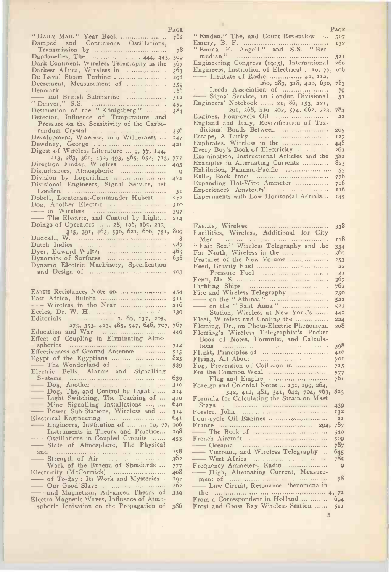|                                                                                                       | 工 さいた                     |                             |
|-------------------------------------------------------------------------------------------------------|---------------------------|-----------------------------|
| "DAILY MAIL" Year Book                                                                                | 762                       | "Emd                        |
|                                                                                                       |                           |                             |
| Damped and Continuous Oscillations,                                                                   |                           | Emery,                      |
|                                                                                                       | 78                        | "Emm                        |
|                                                                                                       |                           |                             |
| Dardanelles, The  444, 445,                                                                           | 509                       | mudi                        |
| Dark Continent, Wireless Telegraphy in the                                                            | 567                       | Engine                      |
|                                                                                                       |                           |                             |
| Darkest Africa, Wireless in                                                                           | 363                       | Engine                      |
| De Laval Steam Turbine                                                                                | 20 i                      | —— Ir                       |
|                                                                                                       |                           |                             |
| Decrement, Measurement of                                                                             | 559                       |                             |
|                                                                                                       | 786                       | $ L$                        |
|                                                                                                       |                           | $\overline{\phantom{a}}$ Si |
| - and British Submarine                                                                               | 512                       |                             |
|                                                                                                       | 459                       | Engine                      |
| Destruction of the "Königsberg"                                                                       |                           |                             |
|                                                                                                       | 384                       |                             |
| Detector, Influence of Temperature and                                                                |                           | Engine:                     |
| Pressure on the Sensitivity of the Carbo-                                                             |                           | Englan                      |
|                                                                                                       |                           |                             |
|                                                                                                       | 356                       | dition                      |
|                                                                                                       | 147                       | Escape,                     |
|                                                                                                       |                           |                             |
|                                                                                                       | 421                       | Euphra                      |
| Digest of Wireless Literature  9, 77, 144,                                                            |                           | Every :                     |
|                                                                                                       |                           |                             |
| 213, 283, 361, 432, 493, 565, 652, 715,                                                               | 777                       | Examin                      |
| Direction Finder, Wireless                                                                            | 493                       | <b>Examp</b>                |
|                                                                                                       |                           | Exhibit                     |
| Disturbances, Atmospheric                                                                             | $\overline{9}$            |                             |
|                                                                                                       | 474                       | Exile,                      |
| Divisional Engineers, Signal Service, 1st                                                             |                           | Expand                      |
|                                                                                                       |                           |                             |
|                                                                                                       | 5 <sup>T</sup>            | Experie                     |
| Dobell, Lieutenant-Commander Hubert                                                                   | 272                       | Experi                      |
|                                                                                                       |                           |                             |
|                                                                                                       | 310                       |                             |
|                                                                                                       | 397                       |                             |
|                                                                                                       |                           |                             |
| - The Electric, and Control by Light                                                                  | 214                       |                             |
| Doings of Operators  28, 106, 165, 233,                                                               |                           |                             |
|                                                                                                       |                           | FABLES                      |
| 315, 391, 465, 530, 621, 686, 751,                                                                    | 800                       | F aciliti                   |
|                                                                                                       | $\overline{\phantom{a}3}$ | Men                         |
|                                                                                                       |                           |                             |
|                                                                                                       | 787                       | "I air                      |
|                                                                                                       | 465                       | Far Ne                      |
|                                                                                                       |                           |                             |
|                                                                                                       | 638                       | Feature                     |
| Dynamo Electric Machinery, Specification                                                              |                           | $\text{Feed}$ , $\theta$    |
|                                                                                                       |                           |                             |
|                                                                                                       |                           |                             |
|                                                                                                       | 703                       | $-$ P                       |
|                                                                                                       |                           |                             |
|                                                                                                       |                           | Fenn, l                     |
|                                                                                                       |                           | Fightin                     |
|                                                                                                       | 454                       |                             |
|                                                                                                       |                           | Fire an                     |
|                                                                                                       | 5II                       | $\overline{\phantom{0}}$ or |
| - Wireless in the Near                                                                                | 216                       |                             |
|                                                                                                       |                           | $\overline{\phantom{0}}$ or |
|                                                                                                       | 139                       | $\overline{\phantom{a}}$ Si |
| 1, 69, 137, 205,<br>Editorials                                                                        |                           | Fleet,                      |
|                                                                                                       | 767                       |                             |
| 275, 353, 423, 485, 547, 646, 707,                                                                    |                           | Flemin                      |
| Education and War                                                                                     | 449                       | Flemin                      |
| Effect of Coupling in Eliminating Atmo-                                                               |                           | <b>Book</b>                 |
|                                                                                                       |                           |                             |
|                                                                                                       | 312                       | tions                       |
| Effectiveness of Ground Antennæ                                                                       | 715                       | Flight,                     |
|                                                                                                       | 823                       |                             |
| Egypt of the Egyptians                                                                                |                           | Flying,                     |
|                                                                                                       | 539                       | Fog, P                      |
| Electric Bells, Alarms and Signalling                                                                 |                           | For the                     |
|                                                                                                       |                           |                             |
|                                                                                                       | 639                       | $---$ F                     |
|                                                                                                       | 310                       | Foreigr                     |
|                                                                                                       | 214                       |                             |
|                                                                                                       |                           |                             |
|                                                                                                       | 410                       | ${\tt Formul}$              |
|                                                                                                       | 640                       | Stays                       |
|                                                                                                       |                           |                             |
| Light Switching, The Teaching of<br>Mine Signalling Installations<br>Power Sub-Stations, Wireless and | 31.1                      | Forster                     |
| Electrical Engineering                                                                                | 64 I                      | Four-cy                     |
|                                                                                                       | 106                       |                             |
| - Engineers, Institution of  10, 77,                                                                  |                           | France                      |
| - Instruments in Theory and Practice                                                                  | 108                       | $-$ T                       |
| -- Oscillations in Coupled Circuits                                                                   | 453                       | French                      |
|                                                                                                       |                           |                             |
| -State of Atmosphere, The Physical                                                                    |                           | - 0                         |
| and                                                                                                   | 278                       | Vi                          |
|                                                                                                       |                           |                             |
|                                                                                                       | 362                       | $-$ W                       |
| - Work of the Bureau of Standards                                                                     | 777                       | F reque                     |
|                                                                                                       |                           |                             |
| Electricity (McCormick)                                                                               | 408                       | $-$ H                       |
|                                                                                                       | 107                       | ment                        |
|                                                                                                       |                           |                             |
|                                                                                                       | 262                       | $- L$                       |
| -and Magnetism, Advanced Theory of                                                                    | 339                       | the                         |
|                                                                                                       |                           |                             |
| Electro-Magnetic Waves, Influence of Atmo-<br>spheric Ionisation on the Propagation of                | 386                       | From a<br>Frost a           |

| PAGE        |                                                                                  | <b>PAGE</b>     |
|-------------|----------------------------------------------------------------------------------|-----------------|
| 762         | "Emden," The, and Count Reventlow  507                                           |                 |
|             |                                                                                  | 132             |
| 78          | "Emma F. Angell" and S.S. "Ber-                                                  |                 |
| , 509       | mudian"                                                                          | 521             |
| 567         | Engineering Congress (1915), International                                       | 26 <sub>0</sub> |
| 363         | Engineers, Institution of Electrical 10, 77, 106                                 |                 |
| 20i         |                                                                                  |                 |
| 559         | 260, 283, 318, 420, 630, 783                                                     |                 |
| 786         |                                                                                  | 79              |
| 512         | -Signal Service, 1st London Divisional<br>Engineers' Notebook  21, 86, 153, 221, | 51              |
| 459         | 291, 368, 439, 502, 574, 662, 723, 784                                           |                 |
| 384         |                                                                                  | 2I              |
|             | England and Italy, Revivification of Tra-                                        |                 |
| 356         | ditional Bonds Between                                                           | 205             |
| 147         |                                                                                  | I27             |
| 421         |                                                                                  | 448             |
|             | Every Boy's Book of Electricity                                                  | 261             |
| , 777       | Examination, Instructional Articles and the                                      | 382             |
| 493         | Examples in Alternating Currents                                                 | 823             |
| $\mathbf Q$ | Exhibition, Panama-Pacific                                                       | 55              |
| 474         |                                                                                  | 776             |
|             | Expanding Hot-Wire Ammeter                                                       | 716             |
| 51          |                                                                                  | 116             |
| 272         | Experiments with Low Horizontal Aërials                                          | 145             |

|                                            | 338        |  |
|--------------------------------------------|------------|--|
| Facilities, Wireless, Additional for City  |            |  |
| Men                                        | 118        |  |
| "I air Sex," Wireless Telegraphy and the   | 334        |  |
| Far North, Wireless in the                 | 560        |  |
| Features of the New Volume                 | 753        |  |
|                                            | 22         |  |
|                                            | 21         |  |
|                                            | 367        |  |
|                                            | 762        |  |
| Fire and Wireless Telegraphy               | 750        |  |
|                                            | 522        |  |
| on the "Sant Anna"                         | 522        |  |
| -Station, Wireless at New York's           | 44I        |  |
| Fleet, Wireless and Coaling the            | 224        |  |
| Fleming, Dr., on Photo-Electric Phenomena  | 208        |  |
| Fleming's Wireless Telegraphist's Pocket   |            |  |
| Book of Notes, Formulæ, and Calcula-       |            |  |
|                                            | 398        |  |
|                                            | 410        |  |
|                                            | <b>701</b> |  |
| Fog, Prevention of Collision in            | 715        |  |
| For the Common Weal                        | 577        |  |
|                                            | 761        |  |
| Foreign and Colonial Notes  131, 199, 264, |            |  |
| 342, 412, 481, 541, 642, 704, 763,         | 825        |  |
| Formula for Calculating the Strain on Mast |            |  |
|                                            | 439        |  |
|                                            | 132        |  |
|                                            | 2I         |  |
|                                            | 787        |  |
|                                            | 540        |  |
|                                            | 500        |  |
|                                            | 787        |  |
| - Viscount, and Wireless Telegraphy        | 645        |  |
|                                            | 785        |  |
| Frequency Ammeters, Radio                  | 9          |  |
| -High, Alternating Current, Measure-       |            |  |
|                                            | 78         |  |
| - Low Circuit, Resonance Phenomena in      |            |  |
|                                            |            |  |
| From a Correspondent in Holland            | 004        |  |
| Frost and Gross Bay Wireless Station       | 5II        |  |
|                                            |            |  |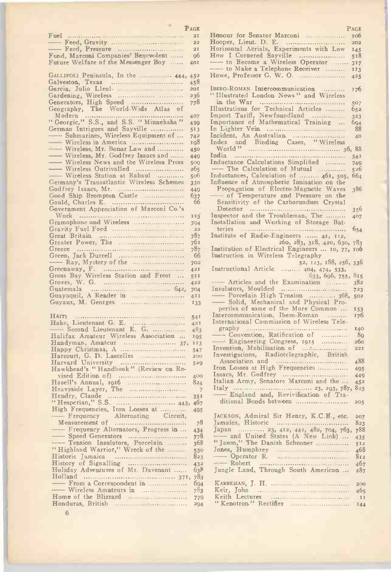|                                                    | PAGE            | P                                                                               |
|----------------------------------------------------|-----------------|---------------------------------------------------------------------------------|
| Fuel                                               | 2I              | Honour for Senator Marconi                                                      |
|                                                    | 22              |                                                                                 |
|                                                    | 2I              | Horizontal Aërials, Experiments with Low                                        |
| Fund, Marconi Companies' Benevolent                | 96              |                                                                                 |
| Future Welfare of the Messenger Boy                | 401             | - to Become a Wireless Operator                                                 |
|                                                    |                 | - to Make a Telephone Receiver                                                  |
| GALLIPOLI Peninsula, In the  444, 452              |                 | Howe, Professor G. W. O.                                                        |
|                                                    | 458             | IBERO-ROMAN Intercommunication                                                  |
|                                                    | 201<br>236      | "Illustrated London News" and Wireless                                          |
|                                                    | 778             |                                                                                 |
| Geography, The World-Wide Atlas of                 |                 | Illustrations for Technical Articles                                            |
|                                                    | 407             | Import Tariff, Newfoundland                                                     |
| "Georgic," S.S., and S.S. "Minnehaha"              | 459             | Importance of Mathematical Training                                             |
| German Intrigues and Sayville                      | 513             |                                                                                 |
| -Submarines, Wireless Equipment of                 | 742             |                                                                                 |
| - Wireless in America                              | 198             | Index and Binding Cases, "Wireless                                              |
| - Wireless, Mr. Bonar Law and                      | 450             |                                                                                 |
| - Wireless, Mr. Godfrey Isaacs and                 | 449             |                                                                                 |
| - Wireless News and the Wireless Press             | 500             | Inductance Calculations Simplified                                              |
| - Wireless Outrivalled                             | 265             | - The Calculation of Mutual                                                     |
| - Wireless Station at Rabaul                       | 50 <sup>6</sup> | Inductances, Calculation of  461, 505,                                          |
| Germany's Transatlantic Wireless Schemes           | 330             | Influence of Atmospheric Ionisation on the                                      |
|                                                    | 449<br>637      | Propagation of Electro-Magnetic Waves<br>$-$ of Temperature and Pressure on the |
| Good Ship Brompton Castle                          | 66              | Sensitivity of the Carborundum Crystal                                          |
| Government Appreciation of Marconi Co.'s           |                 |                                                                                 |
|                                                    | 115             | Inspector and the Troubleman, The                                               |
|                                                    | 704             | Installation and Working of Storage Bat-                                        |
|                                                    | 22              |                                                                                 |
|                                                    | 787             | Institute of Radio-Engineers  41, 112,                                          |
|                                                    | 761             | 260, 283, 318, 420, 630,                                                        |
|                                                    | 787             | Institution of Electrical Engineers  10, 77,                                    |
|                                                    | 66              | Instruction in Wireless Telegraphy                                              |
| $\longrightarrow$ Ray, Mystery of the annumerator. | 702             | 52, 123, 188, 256,                                                              |
|                                                    | 421             | Instructional Article  404, 474, 533,                                           |
| Gross Bay Wireless Station and Frost               | 511             | 033, 696, 755,                                                                  |
|                                                    | 422             | - Articles and the Examination                                                  |
|                                                    | 704<br>4II      | - Porcelain High Tension  368,                                                  |
|                                                    | 133             | -Solid, Mechanical and Physical Pro-                                            |
|                                                    |                 | perties of some of the More Common                                              |
| $H$ AITI                                           | 54 <sup>1</sup> | Intercommunication, Ibero-Roman                                                 |
|                                                    | 421             | International Commission of Wireless Tele-                                      |
| Second Lieutenant E. G.                            | 483             |                                                                                 |
| Halifax Amateur Wireless Association               | 195             | - Convention, Ratification of                                                   |
| Handyman, Amateur  37, 113                         |                 | Engineering Congress, 1915                                                      |
|                                                    | 547             | Invention, Mobilisation of                                                      |
| Harcourt, G. D. Lascelles                          | 200             | Investigations, Radiotelegraphic, British                                       |
| Harvard University                                 | 529             | Iron Losses at High Frequencies                                                 |
| Hawkhead's "Handbook" (Review on Re-               |                 |                                                                                 |
|                                                    | 400<br>824      | Italian Army, Senatore Marconi and the                                          |
|                                                    |                 |                                                                                 |
|                                                    | 351             | - England and, Revivification of Tra-                                           |
| "Hesperian," S.S.  443, 467                        |                 | ditional Bonds between                                                          |
| High Frequencies, Iron Losses at                   | 495             |                                                                                 |
| Alternating Circuit,<br>- Frequency                |                 | JACKSON, Admiral Sir Henry, K.C.B., etc.                                        |
|                                                    | 78              |                                                                                 |
| - Frequency Alternators, Progress in               | 434             | Japan  23, 412, 442, 482, 704, 763,                                             |
|                                                    | 778             | -and United States (A New Link)                                                 |
| -Tension Insulators, Porcelain                     | 368             | "Jason," The Danish Schooner                                                    |
| "Highland Warrior," Wreck of the                   | 530             |                                                                                 |
|                                                    | 823             | $\longrightarrow$ Operator R.                                                   |
|                                                    | 432             | Jungle Land, Through South American                                             |
| Holiday Adventures of Mr. Davenant                 | 638             |                                                                                 |
| - From a Correspondent in                          | 694             |                                                                                 |
| - Wireless Amateurs in                             | 783             | Keir, John                                                                      |
| Home of the Blizzard                               | 779             |                                                                                 |
|                                                    | 294             |                                                                                 |
|                                                    |                 |                                                                                 |

|                                                                   | PAGE            |                                                  | PAGE            |  |
|-------------------------------------------------------------------|-----------------|--------------------------------------------------|-----------------|--|
|                                                                   | 2I              | Honour for Senator Marconi                       | 100             |  |
|                                                                   | 22              |                                                  | 202             |  |
|                                                                   | 2I              | Horizontal Aërials, Experiments with Low         | 145             |  |
| Fund, Marconi Companies' Benevolent                               | gб              | How I Cornered Sayville                          | 518             |  |
| Future Welfare of the Messenger Boy                               | 401             | -- to Become a Wireless Operator  317            |                 |  |
|                                                                   |                 | to Make a Telephone Receiver                     | 113             |  |
| GALLIPOLI Peninsula, In the  444, 452                             |                 |                                                  | 425             |  |
|                                                                   | 458             |                                                  |                 |  |
| Garcia, Julio Lleul-                                              | 201             | IBERO-ROMAN Intercommunication                   | 176             |  |
|                                                                   | 236             | "Illustrated London News" and Wireless           |                 |  |
|                                                                   | 778             |                                                  | 507             |  |
| Geography, The World-Wide Atlas of                                |                 | Illustrations for Technical Articles             |                 |  |
|                                                                   |                 | Import Tariff, Newfoundland                      | 0,52            |  |
|                                                                   | 407             |                                                  | 323             |  |
| "Georgic," S.S., and S.S. "Minnehaha"                             | 459             | Importance of Mathematical Training              | 694             |  |
| German Intrigues and Sayville                                     | 513             |                                                  | 88              |  |
|                                                                   | 742             | Incident, An Australian                          | 40              |  |
|                                                                   | 198             | Index and Binding Cases, "Wireless               |                 |  |
|                                                                   | 450             |                                                  |                 |  |
| Wireless, Mr. Bonar Law and<br>- Wireless, Mr. Godfrey Isaacs and | 449             |                                                  | 54 <sup>1</sup> |  |
|                                                                   | 500             | Inductance Calculations Simplified               | 749             |  |
|                                                                   | 265             | - The Calculation of Mutual                      | 526             |  |
| - Wireless Station at Rabaul                                      |                 | Inductances, Calculation of  461, 505, 664       |                 |  |
|                                                                   | 50 <sup>6</sup> |                                                  |                 |  |
| Germany's Transatlantic Wireless Schemes                          | 330             | Influence of Atmospheric Ionisation on the       |                 |  |
|                                                                   | 449             | Propagation of Electro-Magnetic Waves            | 386             |  |
| Good Ship Brompton Castle                                         | 637             | - of Temperature and Pressure on the             |                 |  |
|                                                                   | 66              | Sensitivity of the Carborundum Crystal           |                 |  |
| Government Appreciation of Marconi Co.'s                          |                 |                                                  | 356             |  |
|                                                                   | 115             | Inspector and the Troubleman, The                | 407             |  |
|                                                                   | 704             | Installation and Working of Storage Bat-         |                 |  |
|                                                                   | 22              |                                                  | 054             |  |
|                                                                   | 787             | Institute of Radio-Engineers  41, 112,           |                 |  |
|                                                                   |                 |                                                  |                 |  |
|                                                                   | 761             | 260, 283, 318, 420, 630, 783                     |                 |  |
|                                                                   | 787             | Institution of Electrical Engineers  10, 77, 106 |                 |  |
|                                                                   | 66              | Instruction in Wireless Telegraphy               |                 |  |
| $\longrightarrow$ Ray, Mystery of the annumerator.                | 702             | 52, 123, 188, 250, 336                           |                 |  |
|                                                                   | 421             | Instructional Article  404, 474, 533,            |                 |  |
| Gross Bay Wireless Station and Frost                              | 511             | 033, 090, 755, 815                               |                 |  |
|                                                                   | 422             | - Articles and the Examination  382              |                 |  |
|                                                                   | 704             |                                                  | $7^{2}3$        |  |
|                                                                   |                 | - Porcelain High Tension  368, 502               |                 |  |
|                                                                   | 411             |                                                  |                 |  |
|                                                                   | 133             | -Solid, Mechanical and Physical Pro-             |                 |  |
|                                                                   |                 | perties of some of the More Common               | <b>I53</b>      |  |
|                                                                   | 541             | Intercommunication, Ibero-Roman                  | 176             |  |
|                                                                   | 42I             | International Commission of Wireless Tele-       |                 |  |
| - Second Lieutenant E. G.                                         | 483             |                                                  | 140             |  |
| Halifax Amateur Wireless Association                              | 195             | --- Convention, Ratification of                  | 89              |  |
| Handyman, Amateur  37, 113                                        |                 | Engineering Congress, 1915                       | 260             |  |
|                                                                   |                 | Invention, Mobilisation of                       | 221             |  |
|                                                                   | 547             | Investigations, Radiotelegraphic, British        |                 |  |
| Harcourt, G. D. Lascelles                                         | 200             |                                                  | 488             |  |
| Harvard University                                                | 529             | Iron Losses at High Frequencies                  |                 |  |
| Hawkhead's "Handbook" (Review on Re-                              |                 |                                                  | 495             |  |
|                                                                   | 400             |                                                  | 449             |  |
|                                                                   | 824             | Italian Army, Senatore Marconi and the           | 452             |  |
|                                                                   | 7               |                                                  |                 |  |
|                                                                   | 351             | - England and, Revivification of Tra-            |                 |  |
|                                                                   |                 |                                                  | 205             |  |
| High Frequencies, Iron Losses at                                  | 495             |                                                  |                 |  |
| - Frequency Alternating Circuit,                                  |                 | JACKSON, Admiral Sir Henry, K.C.B., etc.         | 207             |  |
|                                                                   | 78              |                                                  |                 |  |
| - Frequency Alternators, Progress in                              |                 |                                                  | 823             |  |
|                                                                   | 434             | Japan  23, 412, 442, 482, 704, 763, 788          |                 |  |
|                                                                   | 778             | -and United States (A New Link)                  | 435             |  |
| -Tension Insulators, Porcelain                                    | 368             | "Jason," The Danish Schooner                     | 512             |  |
| "Highland Warrior," Wreck of the                                  | 530             |                                                  | 468             |  |
|                                                                   | 823             | $\longrightarrow$ Operator R.                    | 8I <sub>2</sub> |  |
|                                                                   | 432             |                                                  | 467             |  |
| Holiday Adventures of Mr. Davenant                                | 638             | Jungle Land, Through South American              | 287             |  |
|                                                                   |                 |                                                  |                 |  |
|                                                                   |                 |                                                  |                 |  |
| From a Correspondent in                                           | 694             |                                                  | 200             |  |
|                                                                   | 783             |                                                  | 465             |  |
| Home of the Blizzard                                              | 779             |                                                  | II              |  |
|                                                                   | 294             |                                                  |                 |  |
|                                                                   |                 |                                                  |                 |  |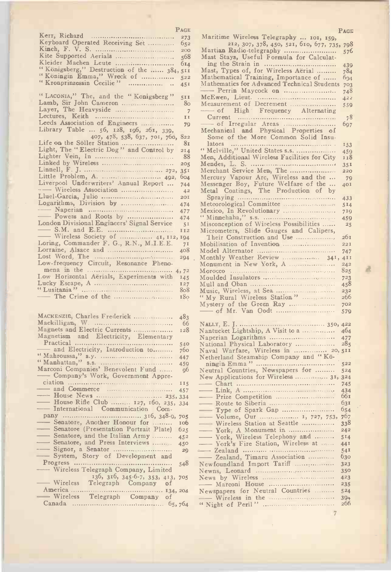|                                                       | PAGE           |                                 |
|-------------------------------------------------------|----------------|---------------------------------|
|                                                       | 273            | Maritir                         |
| Keyboard Operated Receiving Set                       | 652            |                                 |
|                                                       | 200            | Martial                         |
| Kite Supported Aerials                                | 568            | Mast S                          |
| Kleider Machen Leute                                  | 614            | ing t                           |
| "Königsberg," Destruction of the  384, 511            |                | Mast, '                         |
| "Köningin Emma," Wreck of<br>"Kronprinzessin Cecilie" | 522            | Mathen                          |
|                                                       | 451            | Mathen                          |
| "LACONIA," The, and the "Konigsberg"                  | 5II            | ---- P                          |
| Lamb, Sir John Cameron                                | 80             | McEwe<br>Measur                 |
|                                                       | 7              | $-$ 01                          |
|                                                       | II             | Curre                           |
| Leeds Association of Engineers                        | 79             | $\overline{\phantom{0}}$ of     |
| Library Table  56, 128, 196, 261, 339,                |                | $\rm_{\rm{Mechar}}$             |
| 407, 478, 538, 637, 701, 760,                         | 822            | Some                            |
| Life on the Söller Station                            | 81             | lators                          |
|                                                       | 214            | "Melv:                          |
|                                                       | 88             | Men, A                          |
|                                                       | 205            | $\verb Mendes $                 |
|                                                       | 351            | Mercha                          |
| Little Problem, A.  492,                              | 604            | Mercur                          |
| Liverpool Underwriters' Annual Report                 | 744            | Messen                          |
| -- Wireless Association                               | 4 <sup>2</sup> | $\operatorname{\mathbf{Metal}}$ |
|                                                       | 20 I           | Spray                           |
|                                                       | 474            | M eteoro                        |
|                                                       | 477            | Mexico.                         |
|                                                       | 474            | $``$ Minn                       |
| London Divisional Engineers' Signal Service           | 51             | Miscone                         |
|                                                       |                | Microm                          |
|                                                       |                | Their                           |
| Loring, Commander F. G., R.N., M.I.E.E.               | 7I             | Mobilis                         |
|                                                       | 408            | Model.                          |
| Low-frequency Circuit, Resonance Pheno-               | 294            | $M$ onthl $_1$                  |
|                                                       |                | Monum                           |
| I.ow Horizontal Aërials, Experiments with             |                | Morocco                         |
|                                                       | 145<br>127     | Moulde                          |
|                                                       | 808            | Mull ar<br>Music,               |
|                                                       | 180            | " My F                          |
|                                                       |                | Mystery                         |
|                                                       |                | $\overline{\phantom{0}}$ of     |
| MACKENZIE, Charles Frederick                          | 483            |                                 |
|                                                       | 66             | NALLY,                          |
| Magnets and Electric Currents                         | 128            | Nantucl                         |
| Magnetism and Electricity, Elementary                 |                | Naperia                         |
|                                                       | 540            | Nationa                         |
| - and Electricity, Introduction to                    | 760            | Naval                           |
| "Mahroussa," s.y.<br>"Manhattan," s.s.                | 447            | Netherl                         |
| Marconi Companies' Benevolent Fund                    | 459            | ningil                          |
| - Company's Work, Government Appre-                   | 96             | Neutral                         |
|                                                       | <b>II5</b>     | New Ap                          |
|                                                       | 457            | $\equiv$ Ch<br>$-\frac{1}{2}$   |
|                                                       |                | $-$ Pr                          |
| - House Rifle Club  127, 160, 235, 334                |                | $-$ Ro                          |
| - International Communication Com-                    |                | $\overline{\phantom{0}}$ Ty     |
|                                                       | 705            | V                               |
| - Senatore, Another Honour for                        | 100            | W                               |
| - Senatore (Presentation Portrait Plate)              | 625            | $-\mathbf{y}_0$                 |
|                                                       | 452            | $\overline{\phantom{0}}$ Yo     |
|                                                       | 450            | $-$ Yo                          |
|                                                       | 29             | $-$ Ze:                         |
| System, Story of Development and                      |                | $-$ Ze                          |
|                                                       | 548            | Newfou                          |
| - Wireless Telegraph Company, Limited                 |                | Newns,                          |
| 136, 316, 345-6-7, 353, 413,                          | 705            | News b                          |
| — Wireless<br>Telegraph Company of                    |                | $- M$                           |
|                                                       |                | Newspa                          |
| - Wireless Telegraph Company of                       |                | $-$ W                           |
|                                                       |                | " Night                         |

| Maritime Wireless Telegraphy  101, 159,               | PAGE            |
|-------------------------------------------------------|-----------------|
| 212, 307, 378, 450, 521, 610, 677, 735, 798           |                 |
| Martian Radio-telegraphy                              | 57 <sup>6</sup> |
| Mast Stays, Useful Formula for Calculat-              |                 |
|                                                       |                 |
| Mast, Types of, for Wireless Aërial                   | 439<br>784      |
| Mathematical Training, Importance of                  | რეჟ             |
| Mathematics for Advanced Technical Students           | 703             |
| Perrin Maycock on                                     | 748             |
|                                                       | $+22$           |
| Measurement of Decrement                              | 559             |
| -of High Frequency Alternating                        |                 |
|                                                       | 78              |
|                                                       | 697             |
|                                                       |                 |
| Some of the More Common Solid Insu-                   |                 |
|                                                       | 153             |
| "Melville," United States s.s.                        | 459             |
| Men, Additional Wireless Facilities for City          | 118             |
|                                                       | 35I             |
| Merchant Service Men, The                             | 220             |
| Mercury Vapour Arc, Wireless and the                  | 79              |
| Messenger Boy, Future Welfare of the                  | 401             |
| Metal Coatings, The Production of by                  |                 |
|                                                       | 433             |
|                                                       | 514             |
|                                                       | 719             |
|                                                       | 459             |
| Misconception of Wireless Possibilities               | 25              |
| Micrometers, Slide Gauges and Calipers,               |                 |
| Their Construction and Use                            | 26 I            |
|                                                       | 221             |
|                                                       | 747             |
| Monthly Weather Review  341,                          | 4II             |
| Monument in New York, A                               | 242             |
|                                                       | 825             |
|                                                       | 723             |
|                                                       | 458             |
| "My Rural Wireless Station"                           | 232<br>266      |
|                                                       | 702             |
|                                                       | 579             |
|                                                       |                 |
|                                                       |                 |
| Nantucket Lightship, A Visit to a                     | 404             |
|                                                       | 477             |
| National Physical Laboratory                          | 285             |
| Naval Warfare, Wireless in  20,511                    |                 |
| Netherland Steamship Company and "Kö-                 |                 |
|                                                       | 522             |
| Neutral Countries, Newspapers for                     | 524             |
| New Applications for Wireless  31, 324                |                 |
|                                                       |                 |
|                                                       | 745             |
|                                                       | 434             |
|                                                       | 66 I            |
|                                                       | 631             |
|                                                       | 054             |
|                                                       | 767             |
|                                                       | 338             |
|                                                       | 242             |
| Vork, A Monument in<br>- York, Wireless Telephony and | 514             |
| - York's Fire Station, Wireless at                    | 44 <sub>1</sub> |
|                                                       | 54I             |
| - Zealand, Timaru Association                         | 630             |
| Newfoundland Import Tariff                            | 323             |
|                                                       | 350             |
|                                                       | 423             |
|                                                       | 235             |
|                                                       | 524             |
| Newspapers for Neutral Countries                      | 394             |
| 7                                                     | 266             |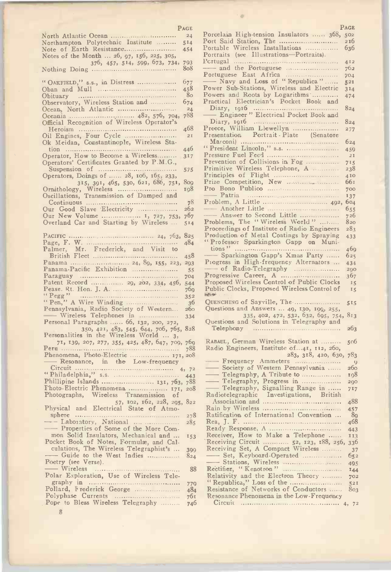| Northampton Polytechnic Institute<br>Note of Earth Resistance<br>Notes of the Month  26, 97, 156, 225, 305,<br>376, 457, 514, 599, 673, 734, 793 | 24              |                                                  | PAGE            |
|--------------------------------------------------------------------------------------------------------------------------------------------------|-----------------|--------------------------------------------------|-----------------|
|                                                                                                                                                  |                 | Porcelain High-tension Insulators  368,          | 502             |
|                                                                                                                                                  | $5^{14}$        |                                                  | 216             |
|                                                                                                                                                  | 454             | Portable Wireless Installations                  | 636             |
|                                                                                                                                                  |                 | Portraits (see Illustrations-Portraits).         |                 |
|                                                                                                                                                  |                 |                                                  | 412             |
|                                                                                                                                                  |                 |                                                  | 702             |
|                                                                                                                                                  | 808             |                                                  |                 |
|                                                                                                                                                  |                 |                                                  | 704             |
| "OAKFIELD," s.s., in Distress                                                                                                                    | 677             | - Navy and Loss of "Republica"                   | 521             |
|                                                                                                                                                  | 458             | Power Sub-Stations, Wireless and Electric        | 314             |
|                                                                                                                                                  | 80              | Powers and Roots by Logarithms                   | 474             |
| Observatory, Wireless Station and                                                                                                                | 674             | Practical Electrician's Pocket Book and          |                 |
|                                                                                                                                                  | 24              |                                                  | 824             |
|                                                                                                                                                  |                 | - Engineer" Electrical Pocket Book and           |                 |
| Official Recognition of Wireless Operator's                                                                                                      |                 |                                                  | 824             |
|                                                                                                                                                  | 468             | Preece, William Llewellyn                        | 277             |
|                                                                                                                                                  | 21              | Presentation Portrait - Plate (Senatore          |                 |
|                                                                                                                                                  |                 |                                                  |                 |
| Ok Meidan, Constantinople, Wireless Sta-                                                                                                         |                 |                                                  | 624             |
|                                                                                                                                                  | 446             |                                                  | 459             |
| Operator, How to Become a Wireless                                                                                                               | 317             |                                                  | 2I              |
| Operators' Certificates Granted by P.M.G.,                                                                                                       |                 | Prevention of Collisions in Fog                  | 715             |
|                                                                                                                                                  | 575             | Primitive Wireless Telephone, A                  | 238             |
| Operators, Doings of  28, 106, 165, 233,                                                                                                         |                 |                                                  | 410             |
| 315, 391, 465, 530, 621, 686, 751, 809                                                                                                           |                 | Prize Competition, New Washington,               | 661             |
|                                                                                                                                                  | 198             | Pro Bono Publico                                 | 700             |
|                                                                                                                                                  |                 |                                                  | 137             |
|                                                                                                                                                  | 78              |                                                  | 604             |
|                                                                                                                                                  | 262             |                                                  |                 |
| Our Good Slave Electricity                                                                                                                       |                 | - Answer to Second Little                        | 655             |
| Our New Volume  1, 727, 753,                                                                                                                     | 767             |                                                  | 726             |
| Overland Car and Starting by Wireless                                                                                                            | 514             | Problems, The "Wireless World"                   | 820             |
|                                                                                                                                                  |                 | Proceedings of Institute of Radio Engineers      | 283             |
|                                                                                                                                                  |                 | Production of Metal Coatings by Spraying         | 433             |
|                                                                                                                                                  | 484             | "Professor Sparkington Gapp on Muni-             |                 |
| Palmer, Mr. Frederick, and Visit to                                                                                                              |                 |                                                  | 469             |
|                                                                                                                                                  | 458             | - Sparkington Gapp's Xmas Party                  | 625             |
|                                                                                                                                                  | 293             | Piogress in High-frequency Alternators           | 434             |
| Panama-Pacific Exhibition                                                                                                                        | 55              |                                                  | 290             |
|                                                                                                                                                  | 704             |                                                  | 367             |
|                                                                                                                                                  |                 | Proposed Wireless Control of Public Clocks       |                 |
|                                                                                                                                                  | 544             |                                                  | 15              |
|                                                                                                                                                  | 700             | Public Clocks, Proposed Wireless Control of      | 15              |
|                                                                                                                                                  | 352             |                                                  |                 |
| "Pen," A Wire Winding                                                                                                                            | 36              | QUENCHING of Sayville, The                       | 5 <sub>15</sub> |
| Pennsylvania, Radio Society of Western                                                                                                           | 26 <sub>0</sub> | Questions and Answers $\dots$ 49, 130, 199, 255, |                 |
|                                                                                                                                                  | 334             | 335, 402, 472, 532, 632, 695, 754, 813           |                 |
| Personal Paragraphs  66, 132, 200, 272,                                                                                                          |                 | Questions and Solutions in Telegraphy and        |                 |
| 350, 421, 483, 545, 644, 706, 765, 828                                                                                                           |                 | Telephony                                        | 263             |
| Personalities in the Wireless World  3,                                                                                                          |                 |                                                  |                 |
| 71, 139, 207, 277, 355, 425, 487, 647, 709, 769                                                                                                  |                 | RABAUL, German Wireless Station at               | 506             |
|                                                                                                                                                  | 788             | Radio Engineers, Institute of41, 112, 260,       |                 |
|                                                                                                                                                  |                 |                                                  |                 |
|                                                                                                                                                  |                 |                                                  |                 |
| Phenomena, Photo-Electric  171, 208                                                                                                              |                 | 283, 318, 420, 630, 783                          |                 |
| - Resonance, in the Low-frequency                                                                                                                |                 |                                                  | ÿ               |
|                                                                                                                                                  |                 | -Society of Western Pennsylvania                 | 2бс             |
|                                                                                                                                                  |                 | - Telegraphy, A Tribute to                       | 108             |
|                                                                                                                                                  |                 | - Telegraphy, Progress in                        | 20C             |
| Fhoto-Electric Phenomena  171, 208                                                                                                               |                 | - Telegraphy, Signalling Range in                | 717             |
| Photographs, Wireless Transmission of                                                                                                            |                 | Radiotelegraphic Investigations, British         |                 |
| 57, 102, 162, 228, 295, 822                                                                                                                      |                 |                                                  | 488             |
|                                                                                                                                                  |                 |                                                  | 457             |
| Physical and Electrical State of Atmo-                                                                                                           |                 | Ratification of International Convention         | 8 <sub>c</sub>  |
|                                                                                                                                                  | 278             |                                                  |                 |
| $\rightarrow$ - Laboratory, National                                                                                                             | 285             |                                                  | 468             |
| - Properties of Some of the More Com-                                                                                                            |                 |                                                  | 443             |
| mon Solid Insulators, Mechanical and                                                                                                             | 153             | Receiver, How to Make a Telephone                | II3             |
| Pocket Book of Notes, Formulæ, and Cal-                                                                                                          |                 | Receiving Circuit  52, 123, 188, 256,            | 33 <sup>6</sup> |
| culations, The Wireless Telegraphist's                                                                                                           | 399             | Receiving Set, A Compact Wireless                | 3 <sup>2</sup>  |
| - Guide to the West Indies                                                                                                                       | 824             | -Set, Keyboard-Operated                          | 65:             |
| Poetry (see Verse).                                                                                                                              |                 |                                                  | 495             |
| — Wireless                                                                                                                                       | 88              | Rectifier, "Kenotron"                            | 144             |
| Polar Exploration, Use of Wireless Tele-                                                                                                         |                 | Relativity and the Electron Theory               | 702             |
|                                                                                                                                                  | 779             |                                                  | 52              |
|                                                                                                                                                  | 484             | Resistance of Networks of Conductors             | 80;             |
| Pollard, Frederick George                                                                                                                        | 76τ             | Resonance Phenomena in the Low-Frequency         |                 |
| Pope to Bless Wireless Telegraphy                                                                                                                | 746             |                                                  |                 |

| North Atlantic Ocean                                                              | 24         | Porcelain High-tension Insulators  368, 502                                          |                        |  |
|-----------------------------------------------------------------------------------|------------|--------------------------------------------------------------------------------------|------------------------|--|
| Northampton Polytechnic Institute                                                 | $5^{14}$   | Portable Wireless Installations                                                      | 2I <sub>0</sub><br>636 |  |
| Notes of the Month  26, 97, 156, 225, 305,                                        | 454        | Portraits (see Illustrations-Portraits).                                             |                        |  |
| 376, 457, 514, 599, 673, 734, 793                                                 |            |                                                                                      | 412                    |  |
|                                                                                   | 808        |                                                                                      | 702                    |  |
|                                                                                   |            | - Navy and Loss of "Republica"                                                       | 704<br>521             |  |
| "OAKFIELD," s.s., in Distress                                                     | 677<br>458 | Power Sub-Stations, Wireless and Electric                                            | 314                    |  |
|                                                                                   | 8o         | Powers and Roots by Logarithms                                                       | 474                    |  |
| Observatory, Wireless Station and                                                 | 674        | Practical Electrician's Pocket Book and                                              |                        |  |
|                                                                                   | 24         |                                                                                      | 824                    |  |
| Official Recognition of Wireless Operator's                                       |            | - Engineer" Electrical Pocket Book and                                               | 824                    |  |
|                                                                                   | 468        | Preece, William Llewellyn                                                            | 277                    |  |
|                                                                                   | 21         | Presentation Portrait Plate (Senatore                                                |                        |  |
| Ok Meidan, Constantinople, Wireless Sta-                                          |            |                                                                                      | 624                    |  |
| $\text{tion}$<br>Operator, How to Become a Wireless                               | 446<br>317 |                                                                                      | 459<br>2I              |  |
| Operators' Certificates Granted by P.M.G.,                                        |            | Prevention of Collisions in Fog                                                      | 715                    |  |
|                                                                                   | 575        | Primitive Wireless Telephone, A                                                      | 238                    |  |
| Operators, Doings of  28, 106, 165, 233,                                          |            |                                                                                      | 410                    |  |
| 315, 391, 465, 530, 621, 686, 751, 809                                            |            | Pro Bono Publico                                                                     | 66I                    |  |
| Ornithology, Wireless<br>Oscillations, Transmission of Damped and                 | 108        |                                                                                      | 700<br>137             |  |
|                                                                                   | 78         |                                                                                      |                        |  |
| Our Good Slave Electricity                                                        | 262        |                                                                                      | 655                    |  |
| Our New Volume  1, 727, 753, 767                                                  |            | - Answer to Second Little                                                            | 726                    |  |
| Overland Car and Starting by Wireless                                             | 514        | <b>Problems, The "Wireless World"</b><br>Proceedings of Institute of Radio Engineers | 820<br>283             |  |
|                                                                                   |            | Production of Metal Coatings by Spraying                                             | 433                    |  |
|                                                                                   | 484        | "Professor Sparkington Gapp on Muni-                                                 |                        |  |
| Palmer, Mr. Frederick, and Visit to                                               |            |                                                                                      | 4 <sub>09</sub>        |  |
|                                                                                   | 458        | - Sparkington Gapp's Xmas Party<br>Piogress in High-frequency Alternators            | 625                    |  |
| Panama-Pacific Exhibition                                                         | 55         |                                                                                      | 434<br>290             |  |
|                                                                                   | 704        |                                                                                      | 367                    |  |
| Patent Record  29, 202, 334, 456, 544                                             |            | Proposed Wireless Control of Public Clocks                                           | 15                     |  |
|                                                                                   | 700        | Public Clocks, Proposed Wireless Control of<br>Health Com                            | 15                     |  |
| "Pen," A Wire Winding                                                             | 352<br>36  | QUENCHING of Sayville, The                                                           | 515                    |  |
| Pennsylvania, Radio Society of Western                                            | 200        | Questions and Answers $\dots$ 49, 130, 199, 255,                                     |                        |  |
| —— Wireless Telephones in                                                         | 334        | 335, 402, 472, 532, 632, 695, 754, 813                                               |                        |  |
| Personal Paragraphs  66, 132, 200, 272,                                           |            | Questions and Solutions in Telegraphy and                                            |                        |  |
| 350, 421, 483, 545, 644, 706, 765, 828<br>Personalities in the Wireless World  3, |            |                                                                                      | 203                    |  |
| 71, 139, 207, 277, 355, 425, 487, 647, 709, 769                                   |            | RABAUL, German Wireless Station at                                                   | 500                    |  |
|                                                                                   | 788        | Radio Engineers, Institute of 41, 112, 260,                                          |                        |  |
| Phenomena, Photo-Electric  171, 208                                               |            | 283, 318, 420, 630, 783                                                              |                        |  |
| - Resonance, in the Low-frequency                                                 |            | - Society of Western Pennsylvania                                                    | $\mathbf{Q}$<br>200    |  |
|                                                                                   |            | — Telegraphy, A Tribute to                                                           | 108                    |  |
|                                                                                   |            | —— Telegraphy, Progress in                                                           | 200                    |  |
| Fhoto-Electric Phenomena  171, 208                                                |            | - Telegraphy, Signalling Range in                                                    | 717                    |  |
| Photographs, Wireless Transmission of<br>57, 102, 162, 228, 295, 822              |            | Radiotelegraphic Investigations, British                                             | 488                    |  |
| Physical and Electrical State of Atmo-                                            |            |                                                                                      |                        |  |
|                                                                                   | 278        | Ratification of International Convention                                             | 89                     |  |
| -- Laboratory, National                                                           | 285        |                                                                                      | 468                    |  |
| - Properties of Some of the More Com-<br>mon Solid Insulators, Mechanical and     | 153        | Receiver, How to Make a Telephone                                                    | 443<br>II3             |  |
| Pocket Book of Notes, Formulæ, and Cal-                                           |            | Receiving Circuit  52, 123, 188, 256, 336                                            |                        |  |
| culations, The Wireless Telegraphist's                                            | 399        | Receiving Set, A Compact Wireless                                                    | 37                     |  |
| - Guide to the West Indies                                                        | 824        | -Set, Keyboard-Operated                                                              | 652                    |  |
| Poetry (see Verse).<br>— Wireless                                                 |            |                                                                                      | 495                    |  |
| Polar Exploration, Use of Wireless Tele-                                          | 88         | Rectifier, "Kenotron"                                                                | 144                    |  |
|                                                                                   |            |                                                                                      |                        |  |
|                                                                                   |            | Relativity and the Electron Theory                                                   | 702                    |  |
| Pollard, Frederick George                                                         | 779<br>484 | Resistance of Networks of Conductors                                                 | 52I<br>803             |  |
| Pope to Bless Wireless Telegraphy                                                 | 761<br>746 | Resonance Phenomena in the Low-Frequency                                             |                        |  |

è

PAGE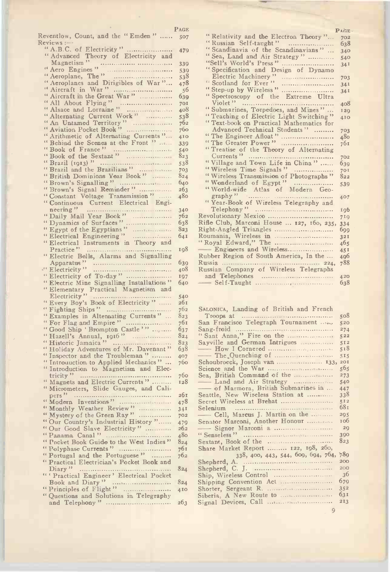Reventlow, Count, and the "Emden" ...... 50<br>Reviews :--

| "A.B.C. of Electricity"                                                                                                                                                                                                        | 479  | 7/7<br>$\mathfrak{c}$ So         |
|--------------------------------------------------------------------------------------------------------------------------------------------------------------------------------------------------------------------------------|------|----------------------------------|
| "Advanced Theory of Electricity and                                                                                                                                                                                            |      | $\frac{1}{2}$                    |
|                                                                                                                                                                                                                                |      | "Se                              |
| Magnetism"<br>"Aero Engines"<br>"Aeroplane, The"                                                                                                                                                                               | 339  | $``S_I$                          |
|                                                                                                                                                                                                                                | 539  |                                  |
|                                                                                                                                                                                                                                | 538  | E                                |
| "Aeroplanes and Dirigibles of War"                                                                                                                                                                                             | 478  | <sup>6:</sup> So                 |
| "Aircraft in War"                                                                                                                                                                                                              | 56   | " St                             |
|                                                                                                                                                                                                                                | 639  | $\lq SI$                         |
|                                                                                                                                                                                                                                | 701  | V                                |
|                                                                                                                                                                                                                                | 408  | $\sqrt{S}$                       |
|                                                                                                                                                                                                                                | 538  | $\alpha$ T                       |
|                                                                                                                                                                                                                                | 762  | $\mathbb{C}$ T                   |
| "An Untamed Territory"                                                                                                                                                                                                         |      | $\boldsymbol{A}$                 |
|                                                                                                                                                                                                                                | 760  | (1)                              |
| " Arithmetic of Alternating Currents"                                                                                                                                                                                          | 410  |                                  |
| "Behind the Scenes at the Front"                                                                                                                                                                                               | 339  | $\frac{1}{1}$                    |
|                                                                                                                                                                                                                                | 540  | $\alpha$ T                       |
|                                                                                                                                                                                                                                | 823  | C                                |
|                                                                                                                                                                                                                                | 538  | $\left\vert \cdot\right\vert$ Vi |
| "Brazil and the Brazilians"                                                                                                                                                                                                    | 703  | $\lq\lq W$                       |
| "British Dominions Year Book"                                                                                                                                                                                                  | 824  | "W                               |
|                                                                                                                                                                                                                                | 640  | $\left\{ \cdot\right\}$ W        |
| "Brown's Signal Reminder"                                                                                                                                                                                                      | 263  | " W                              |
| "Constant Voltage Transmission"                                                                                                                                                                                                |      |                                  |
|                                                                                                                                                                                                                                | 480  | gr<br>$\alpha$ $\bar{Y}$         |
| "Continuous Current Electrical Engi-                                                                                                                                                                                           |      |                                  |
|                                                                                                                                                                                                                                | 340  | T.                               |
|                                                                                                                                                                                                                                | 762  | Revol                            |
|                                                                                                                                                                                                                                | 638  | Rifle (                          |
|                                                                                                                                                                                                                                | 823  | Right-                           |
|                                                                                                                                                                                                                                | 641  | Rouma                            |
| eventually and the contract of the contract of the contract of the contract of the contract of the contract of the contract of the contract of the contract of the contract of the contract of the contract of the contract of |      | "Roy:                            |
|                                                                                                                                                                                                                                | 198  | – 1                              |
| "Electric Bells, Alarms and Signalling                                                                                                                                                                                         |      | Rubbe                            |
|                                                                                                                                                                                                                                |      |                                  |
|                                                                                                                                                                                                                                | 639  | Russia                           |
|                                                                                                                                                                                                                                | 408  | Russia                           |
| Apparatus"<br>"Electricity"<br>"Electricity of To-day"                                                                                                                                                                         | 197  | and                              |
| "Electric Mine Signalling Installations"                                                                                                                                                                                       | 640  | $-$ S                            |
| "Elementary Practical Magnetism and                                                                                                                                                                                            |      |                                  |
|                                                                                                                                                                                                                                | 540  |                                  |
|                                                                                                                                                                                                                                | 261  |                                  |
|                                                                                                                                                                                                                                | 762  | Salon                            |
| "Examples in Alternating Currents"                                                                                                                                                                                             | 823  | $T$ roo                          |
| "For Flag and Empire"                                                                                                                                                                                                          | 761  | San F                            |
|                                                                                                                                                                                                                                |      |                                  |
| "Good Ship ' Brompton Castle'" ,                                                                                                                                                                                               | 637  | Sang-1                           |
| "Hazell's Annual, 1916"<br>"Historic Jamaica"<br>"Holiday Adventures of Mr. Davenant"                                                                                                                                          | 82.1 | " Sant                           |
|                                                                                                                                                                                                                                | 823  | Sayvil                           |
|                                                                                                                                                                                                                                | 638  | $\equiv \frac{F}{1}$             |
| "Inspector and the Troubleman"                                                                                                                                                                                                 | 407  |                                  |
| "Introduction to Applied Mechanics"                                                                                                                                                                                            | 760  | Schoul                           |
| "Introduction to Magnetism and Elec-                                                                                                                                                                                           |      | Scienc                           |
|                                                                                                                                                                                                                                | 760  |                                  |
| "Magnets and Electric Currents"                                                                                                                                                                                                | 128  | Sea, I                           |
| "Micrometers, Slide Gauges, and Cali-                                                                                                                                                                                          |      | $\overline{\phantom{0}}$         |
|                                                                                                                                                                                                                                | 261  | Seattle                          |
|                                                                                                                                                                                                                                |      | Secret                           |
| pers" ("Modern Inventions")<br>"Modern Inventions" ("Monthly Weather Review")<br>"Mystery of the Green Ray"                                                                                                                    | 478  |                                  |
|                                                                                                                                                                                                                                | 34I  | Seleni                           |
|                                                                                                                                                                                                                                | 702  | $-$ (                            |
| "Our Country's Industrial History"                                                                                                                                                                                             | 479  | Senato                           |
| "Our Good Slave Electricity"                                                                                                                                                                                                   | 262  | $-\frac{c}{c}$                   |
|                                                                                                                                                                                                                                | 480  | " Sens                           |
| "Pocket Book Guide to the West Indies"                                                                                                                                                                                         | 824  | Sextan                           |
| "Polyphase Currents"                                                                                                                                                                                                           | 761  | Share                            |
| "Portugal and the Portuguese"                                                                                                                                                                                                  |      |                                  |
| "Practical Electrician's Pocket Book and                                                                                                                                                                                       |      |                                  |
|                                                                                                                                                                                                                                | 762  |                                  |
|                                                                                                                                                                                                                                |      | ${\rm Sheph}$                    |
| Diary"                                                                                                                                                                                                                         | 824  | Sheph                            |
|                                                                                                                                                                                                                                |      | Ship,                            |
| Book and Diary"                                                                                                                                                                                                                | 824  | Shippi                           |
| "Principles of Flight"                                                                                                                                                                                                         | 410  | Shorte                           |
| "Questions and Solutions in Telegraphy                                                                                                                                                                                         |      | Siberia                          |
|                                                                                                                                                                                                                                | 263  | Signal                           |

| PAGE |                                           | PAGE.           |  |
|------|-------------------------------------------|-----------------|--|
| 507  | "Relativity and the Electron Theory"      | 702             |  |
|      |                                           | 638             |  |
| 479  | "Scandinavia of the Scandinavians"        | 340             |  |
|      | "Sea, Land and Air Strategy"              | 540             |  |
| 339  | "Sell's World's Press"                    | 341             |  |
| 539  | "Specification and Design of Dynamo       |                 |  |
| 538  |                                           | 703             |  |
| 478  |                                           | 341             |  |
| 56   |                                           | 341             |  |
| 639  | "Spectroscopy of the Extreme Ultra        |                 |  |
| 70I  | Violet "                                  | 408             |  |
| 408  | "Submarines, Torpedoes, and Mines"        | 120             |  |
| 538  | "Teaching of Electric Light Switching"    | 410             |  |
| 762  | "Text-book on Practical Mathematics for   |                 |  |
| 760  | Advanced Technical Students"              | 703             |  |
| 410  | "The Engineer Afloat"                     | 480             |  |
| 339  | "The Greater Power"                       | 761             |  |
| 540  | "Treatise of the Theory of Alternating    |                 |  |
| 823  |                                           | 702             |  |
| 538  | "Village and Town Life in China"          | 639             |  |
| 703  | "Wireless Time Signals"                   | 70I             |  |
| 824  | "Wireless Transmission of Photographs"    | 822             |  |
| 640  | "Wonderland of Egypt"                     |                 |  |
| 263  | "World-wide Atlas of Modern Geo-          | 539             |  |
| 480  |                                           |                 |  |
|      | "Year-Book of Wireless Telegraphy and     | 407             |  |
| 340  |                                           | ig6             |  |
| 762  | Revolutionary Mexico                      | 719             |  |
| 638  | Rifle Club, Marconi House  127, 160, 235, | 334             |  |
| 823  |                                           | 6gg             |  |
| 641  | Roumania, Wireless in                     | 321             |  |
|      |                                           | 465             |  |
| IQ8  |                                           | 45I             |  |
|      | Rubber Region of South America, In the    | 40 <sub>0</sub> |  |
| 630  |                                           | 788             |  |
| 408  |                                           |                 |  |
| 197  |                                           | 420             |  |
| 640  |                                           | 638             |  |
|      |                                           |                 |  |

SALONICA, Landing of British and French

|                                     | 508             |
|-------------------------------------|-----------------|
| San Francisco Telegraph Tournament  | 520             |
|                                     | 274             |
| "Sant Anna," Fire on the            | 522             |
| Sayville and German Intrigues       | 5I2             |
|                                     | 518             |
|                                     | 515             |
| Schoubroeck, Joseph van  133,       | 201             |
|                                     | 565             |
| Sea, British Command of the         | 273             |
| - Land and Air Strategy             | 540             |
| -of Marmora, British Submarines in  | 447             |
| Seattle, New Wireless Station at    | 338             |
| Secret Wireless at Brehat           | 512             |
|                                     | 68 <sub>I</sub> |
| Cell, Marcus J. Martin on the       | 205             |
| Senator Marconi, Another Honour     | 106             |
|                                     | 20              |
|                                     | 300             |
| Sextant, Book of the                | 823             |
| Share Market Report  122, 198, 260, |                 |
| 338, 400, 443, 544, 609, 694, 764,  | 780             |
|                                     | 200             |
|                                     | 200             |
|                                     | 36              |
| Shipping Convention Act             | 679             |
| Shorter, Sergeant R.                | 352             |
| Siberia, A New Route to             | 631             |
|                                     | 213             |
| 9                                   |                 |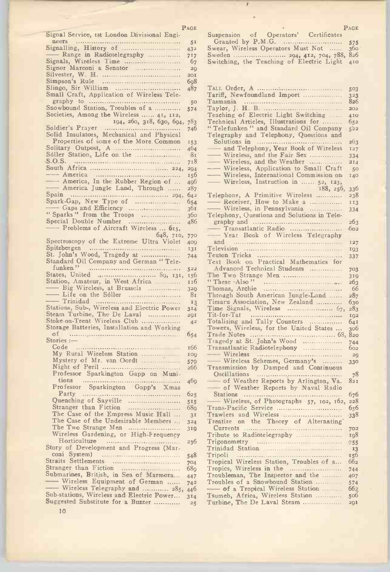|                                             | <b>FAGE</b>     |                                                                                                         | PAGE             |  |
|---------------------------------------------|-----------------|---------------------------------------------------------------------------------------------------------|------------------|--|
| Signal Service, ist London Divisional Engi- |                 | Suspension of Operators' Certificates                                                                   |                  |  |
| neers                                       | 51              |                                                                                                         | 575              |  |
|                                             | 432             | Swear, Wireless Operators Must Not                                                                      | 300              |  |
| $-$ Range in Radiotelegraphy                | 717             | Sweden  294, 412, 704, 788, 820                                                                         |                  |  |
| Signals, Wireless Time                      |                 |                                                                                                         |                  |  |
|                                             | 67              | Switching, the Teaching of Electric Light                                                               | 410              |  |
| Signor Marconi a Senator                    | 20              |                                                                                                         |                  |  |
|                                             | 20I             |                                                                                                         |                  |  |
|                                             | 608             |                                                                                                         |                  |  |
|                                             | 487             |                                                                                                         | 503              |  |
| Small Craft, Application of Wireless Tele-  |                 | Tariff, Newfoundland Import                                                                             | 3 <sup>2</sup> 3 |  |
|                                             | 50              |                                                                                                         | 826              |  |
| Snowbound Station, Troubles of a            | 574             |                                                                                                         | 202              |  |
| Societies, Among the Wireless  41, 112,     |                 | Teaching of Electric Light Switching                                                                    | 410              |  |
| 194, 260, 318, 630, 694, 783                |                 | Technical Articles, Illustrations for                                                                   | 652              |  |
|                                             | 746             | "Telefunken" and Standard Oil Company                                                                   | $5^{22}$         |  |
| Solid Insulators, Mechanical and Physical   |                 | Telegraphy and Telephony, Questions and                                                                 |                  |  |
|                                             |                 |                                                                                                         |                  |  |
| Properties of some of the More Common       | 153             |                                                                                                         | 203              |  |
|                                             | $4^{64}$        | - and Telephony, Year Book of Wireless                                                                  | 127              |  |
| Sóller Station, Life on the                 | $-81$           | - Wireless, and the Fair Sex                                                                            | 334              |  |
|                                             | 718             | - Wireless, and the Weather                                                                             | 214              |  |
|                                             | 204             | —— Wireless, Application to Small Craft                                                                 | 50               |  |
| —— America …………………………………                    | 150             | - Wireless, International Commission on                                                                 | 140              |  |
| — America, In the Rubber Region of          | 496             | - Wireless, Instruction in $52$ , $123$ ,                                                               |                  |  |
| - America Jungle Lamd, Through              | 287             | 188, 250,                                                                                               | 330              |  |
|                                             | 642             | Telephone, A Primitive Wireless                                                                         | 238              |  |
| Spark-Gap, New Type of                      | 054             | - Receiver, How to Make a                                                                               |                  |  |
|                                             |                 |                                                                                                         | 113              |  |
| "Sparks" from the Troops                    | 361             | - Wireless, in Pennsylvania                                                                             | 334              |  |
|                                             | 300             | Telephony, Questions and Solutions in Tele-                                                             |                  |  |
|                                             | 486             |                                                                                                         | 203              |  |
| - Problems of Aircraft Wireless  615,       |                 | Transatlantic Radio                                                                                     | $-602$           |  |
| 648, 710, 770                               |                 | - Year Book of Wireless Telegraphy                                                                      |                  |  |
| Spectroscopy of the Extreme Ultra Violet    | 400             | and                                                                                                     | 127              |  |
|                                             | 131             |                                                                                                         | 193              |  |
| St. John's Wood, Tragedy at                 | 744             |                                                                                                         | 337              |  |
| Standard Oil Company and German "Tele-      |                 | Text Book on Practical Mathematics for                                                                  |                  |  |
| funken <sup>33</sup>                        | 522             | Advanced Technical Students                                                                             |                  |  |
| States, United  89, 131,                    |                 |                                                                                                         | 7 <sub>03</sub>  |  |
|                                             | 150             |                                                                                                         | 319              |  |
| Station, Amateur, in West Africa            | 110             | $\text{``These } \neg \text{Also ''} \quad \dots \dots \dots \dots \dots \dots \dots \dots \dots \dots$ | 203              |  |
| Big Wireless, at Brussels                   | 320             |                                                                                                         | 66               |  |
|                                             | 8 <sub>I</sub>  | Through South American Jungle-Land                                                                      | 287              |  |
|                                             | 13              | Timaru Association, New Zealand                                                                         | 630              |  |
| Stations, Sub-, Wireless and Electric Power | 3 <sub>14</sub> |                                                                                                         | 283              |  |
| Steam Turbine, The De Laval                 | 201             |                                                                                                         | IQ2              |  |
| Stoke-on-Trent Wireless Club                | 4 <sup>2</sup>  | Totalising and Tally Counters                                                                           | 641              |  |
| Storage Batteries, Installation and Working |                 | Towers, Wireless, for the United States                                                                 | 300              |  |
|                                             | 654             |                                                                                                         |                  |  |
| $Stories :=$                                |                 | Tragedy at St. John's Wood                                                                              | 744              |  |
| Code                                        | I <sub>0</sub>  | Transatlantic Radiotelephony                                                                            | 602              |  |
| My Rural Wireless Station                   | IOQ             |                                                                                                         |                  |  |
| Mystery of Mr. van Oordt                    |                 |                                                                                                         | 29               |  |
|                                             | 579             | - Wireless Schemes, Germany's                                                                           | 330              |  |
|                                             | 266             | Transmission by Damped and Continuous                                                                   |                  |  |
| Professor Sparkington Gapp on Muni-         |                 |                                                                                                         | 78               |  |
| tions                                       | 4 <sup>6</sup>  | of Weather Reports by Arlington, Va.<br>of Weather Reports by Naval Radio                               | 821              |  |
| Professor Sparkington Gapp's Xmas           |                 |                                                                                                         |                  |  |
|                                             | 625             |                                                                                                         | 676              |  |
| Quenching of Sayville                       | 515             | $-$ Wireless, of Photographs $57, 102, 162, 228$                                                        |                  |  |
| Stranger than Fiction                       | 68g             | Trans-Pacific Service                                                                                   | 656              |  |
| The Case of the Empress Music Hall          | 3I              | Trawlers and Wireless                                                                                   | 338              |  |
| The Case of the Undesirable Members         | 324             | Treatise on the Theory of Alternating                                                                   |                  |  |
| The Two Strange Men                         |                 |                                                                                                         |                  |  |
|                                             | 319             |                                                                                                         | 702              |  |
| Wireless Gardening, or High-Frequency       |                 | Tribute to Radiotelegraphy                                                                              | 198              |  |
|                                             | 236             |                                                                                                         | 755              |  |
| Story of Development and Progress (Mar-     |                 | Trinidad Station                                                                                        | 13               |  |
| coni System)                                | 548             | Tripoli                                                                                                 | 156              |  |
|                                             | 704             | Tropical Wireless Station, Troubles of a                                                                | 662              |  |
|                                             | 68q             |                                                                                                         | 744              |  |
| Submarines, British, in Sea of Marmora      | 447             | Troubleman, The Inspector and the                                                                       | 407              |  |
| - Wireless Equipment of German              | 742             | Troubles of a Snowbound Station                                                                         | 574              |  |
| - Wireless Telegraphy and  285, 446         |                 | of a Tropical Wireless Station                                                                          | 662              |  |
| Sub-stations, Wireless and Electric Power   |                 |                                                                                                         |                  |  |
|                                             | 3I4             | Tsumeb, Africa, Wireless Station                                                                        | 500              |  |
| Suggested Substitute for a Buzzer           | 25              | Turbine, The De Laval Steam                                                                             | 291              |  |

| PAG. |  |
|------|--|
|      |  |

|                                               | 487             |                                                                           | 503      |  |
|-----------------------------------------------|-----------------|---------------------------------------------------------------------------|----------|--|
| Small Craft, Application of Wireless Tele-    |                 | Tariff, Newfoundland Import                                               | 323      |  |
|                                               | 50              |                                                                           | 826      |  |
| Snowbound Station, Troubles of a              | 574             |                                                                           | 202      |  |
| Societies, Among the Wireless  41, 112,       |                 | Teaching of Electric Light Switching                                      | 410      |  |
| 194, 260, 318, 630, 694, 783                  |                 | Technical Articles, Illustrations for                                     | 652      |  |
|                                               | 746             | "Telefunken" and Standard Oil Company                                     | $5^{22}$ |  |
| Solid Insulators, Mechanical and Physical     |                 |                                                                           |          |  |
|                                               |                 | Telegraphy and Telephony, Questions and                                   |          |  |
| Properties of some of the More Common         | 153             |                                                                           | 263      |  |
|                                               | 464             | and Telephony, Year Book of Wireless                                      | 127      |  |
| Sóller Station, Life on the                   | $-8I$           | $-$ Wireless, and the Fair Sex                                            | 334      |  |
|                                               | 718             | - Wireless, and the Weather                                               | 214      |  |
|                                               |                 | - Wireless, Application to Small Craft                                    | 50       |  |
|                                               | 150             | - Wireless, International Commission on                                   | 140      |  |
| - America, In the Rubber Region of            | 496             | - Wireless, Instruction in  52, 123,                                      |          |  |
| - America Jungle Land, Through                | 287             | 188, 256, 336                                                             |          |  |
|                                               |                 | Telephone, A Primitive Wireless                                           | 238      |  |
| Spark-Gap, New Type of                        | 654             | - Receiver, How to Make a                                                 | 113      |  |
|                                               | 36 <sub>I</sub> | - Wireless, in Pennsylvania                                               | 334      |  |
| "Sparks" from the Troops                      | 360             | Telephony, Questions and Solutions in Tele-                               |          |  |
|                                               | 486             |                                                                           | 263      |  |
| - Problems of Aircraft Wireless  615,         |                 |                                                                           | 002      |  |
| 648, 710, 770                                 |                 | - Year Book of Wireless Telegraphy                                        |          |  |
| Spectroscopy of the Extreme Ultra Violet      |                 | and                                                                       |          |  |
|                                               | 400             |                                                                           | 127      |  |
|                                               | 131             |                                                                           | 193      |  |
| St. John's Wood, Tragedy at                   | 744             |                                                                           | 337      |  |
| Standard Oil Company and German "Tele-        |                 | Text Book on Practical Mathematics for                                    |          |  |
|                                               | 522             | Advanced Technical Students                                               | 703      |  |
| States, United  89, 131, 156                  |                 |                                                                           | 319      |  |
| Station, Amateur, in West Africa              | 110             |                                                                           | 263      |  |
| -Big Wireless, at Brussels                    | 329             |                                                                           | 66       |  |
|                                               | 8 <sub>I</sub>  | Through South American Jungle-Land                                        | 287      |  |
|                                               | 13              | Timaru Association, New Zealand                                           | 630      |  |
| Stations, Sub-, Wireless and Electric Power   | 3I <sub>4</sub> | Time Signals, Wireless  67, 283                                           |          |  |
| Steam Turbine, The De Laval                   | 20I             |                                                                           | IQ2      |  |
| Stoke-on-Trent Wireless Club                  | 4 <sup>2</sup>  | Totalising and Tally Counters                                             | 641      |  |
| Storage Batteries, Installation and Working   |                 | Towers, Wireless, for the United States                                   | $-300$   |  |
|                                               | 654             |                                                                           |          |  |
| Stories:                                      |                 | Tragedy at St. John's Wood                                                | 744      |  |
| Code                                          | I <sub>66</sub> | Transatlantic Radiotelephony                                              | 602      |  |
| My Rural Wireless Station                     | IOQ             |                                                                           |          |  |
| Mystery of Mr. van Oordt                      | 579             | - Wireless Schemes, Germany's                                             | 29       |  |
|                                               | 266             |                                                                           | 330      |  |
|                                               |                 | Transmission by Damped and Continuous                                     |          |  |
| Professor Sparkington Gapp on Muni-           |                 |                                                                           | 78       |  |
|                                               | 46g             | of Weather Reports by Arlington, Va.<br>of Weather Reports by Naval Radio | 821      |  |
| Professor Sparkington Gapp's Xmas             |                 |                                                                           |          |  |
|                                               | 625             |                                                                           | 676      |  |
| Quenching of Sayville                         | 515             | Wireless, of Photographs 57, 102, 162, 228                                |          |  |
| Stranger than Fiction                         | 68 <sub>9</sub> |                                                                           | 656      |  |
| The Case of the Empress Music Hall            | 3I              |                                                                           | 338      |  |
| The Case of the Undesirable Members           | 324             | Treatise on the Theory of Alternating                                     |          |  |
|                                               | 319             |                                                                           | 702      |  |
| Wireless Gardening, or High-Frequency         |                 | Tribute to Radiotelegraphy                                                | 198      |  |
|                                               | 236             |                                                                           | 755      |  |
| Story of Development and Progress (Mar-       |                 |                                                                           |          |  |
|                                               |                 |                                                                           | 13       |  |
|                                               | 548             |                                                                           | 156      |  |
|                                               | 704             | Tropical Wireless Station, Troubles of a                                  | 662      |  |
|                                               | 68 <sub>Q</sub> |                                                                           | 744      |  |
| Submarines, British, in Sea of Marmora        | 447             | Troubleman, The Inspector and the                                         | 407      |  |
| --- Wireless Equipment of German              | 742             | Troubles of a Snowbound Station                                           | 574      |  |
| - Wireless Telegraphy and  285, 446           |                 | of a Tropical Wireless Station                                            | 002      |  |
| Sub-stations, Wireless and Electric Power 314 |                 | Tsumeb, Africa, Wireless Station                                          | 500      |  |
|                                               |                 | Turbine, The De Laval Steam                                               | 2Q1      |  |
|                                               |                 |                                                                           |          |  |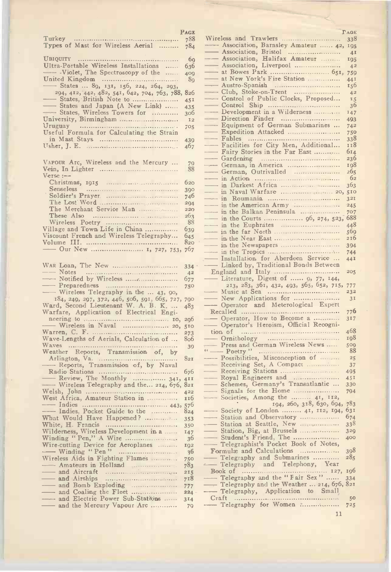| Turkey<br>.<br>Types of Mast for Wireless Aerial<br>UBIQUITY<br>Ultra-Portable Wireless Installations<br>----- Violet, The Spectroscopy of the<br>- States  89, 131, 156, 224, 264, 293,<br>294, 412, 442, 482, 541, 642, 704, 763, 788, 826<br>-States, British Note to | PAGE<br>788<br>784<br>6 <sub>9</sub><br>636<br>400<br>89 | Wireles<br>$\overline{\phantom{a}}$ As<br>$\overline{\phantom{a}}$ As<br>$-$ As<br>$\overline{\phantom{a}}$ As |
|--------------------------------------------------------------------------------------------------------------------------------------------------------------------------------------------------------------------------------------------------------------------------|----------------------------------------------------------|----------------------------------------------------------------------------------------------------------------|
|                                                                                                                                                                                                                                                                          |                                                          |                                                                                                                |
|                                                                                                                                                                                                                                                                          |                                                          |                                                                                                                |
|                                                                                                                                                                                                                                                                          |                                                          |                                                                                                                |
|                                                                                                                                                                                                                                                                          |                                                          |                                                                                                                |
|                                                                                                                                                                                                                                                                          |                                                          |                                                                                                                |
|                                                                                                                                                                                                                                                                          |                                                          |                                                                                                                |
|                                                                                                                                                                                                                                                                          |                                                          | $-$ at                                                                                                         |
|                                                                                                                                                                                                                                                                          |                                                          |                                                                                                                |
|                                                                                                                                                                                                                                                                          |                                                          | $\frac{1}{2}$ at                                                                                               |
|                                                                                                                                                                                                                                                                          |                                                          |                                                                                                                |
|                                                                                                                                                                                                                                                                          |                                                          | $\overline{\phantom{a}}$ CI                                                                                    |
|                                                                                                                                                                                                                                                                          |                                                          |                                                                                                                |
|                                                                                                                                                                                                                                                                          | 45 <sup>1</sup>                                          | $\overline{\phantom{a}}$ Co                                                                                    |
| -States and Japan (A New Link)                                                                                                                                                                                                                                           | 435                                                      | $\overline{\phantom{a}}$ Co                                                                                    |
| -States, Wireless Towers for                                                                                                                                                                                                                                             | 306                                                      | $-$ De                                                                                                         |
|                                                                                                                                                                                                                                                                          |                                                          | $\rightharpoonup$ Di                                                                                           |
|                                                                                                                                                                                                                                                                          | 12                                                       |                                                                                                                |
|                                                                                                                                                                                                                                                                          | 705                                                      | $-$ Eq                                                                                                         |
| Useful Formula for Calculating the Strain                                                                                                                                                                                                                                |                                                          | $\frac{Ex}{Fa}$                                                                                                |
|                                                                                                                                                                                                                                                                          |                                                          |                                                                                                                |
|                                                                                                                                                                                                                                                                          | 439                                                      | $\frac{F_a}{F_a}$                                                                                              |
|                                                                                                                                                                                                                                                                          | 467                                                      |                                                                                                                |
|                                                                                                                                                                                                                                                                          |                                                          |                                                                                                                |
|                                                                                                                                                                                                                                                                          |                                                          |                                                                                                                |
| VAPOUR Arc, Wireless and the Mercury                                                                                                                                                                                                                                     | 79                                                       | $-$ Ge                                                                                                         |
|                                                                                                                                                                                                                                                                          | 88                                                       |                                                                                                                |
| $Verse :=$                                                                                                                                                                                                                                                               |                                                          | $-$ Ge                                                                                                         |
|                                                                                                                                                                                                                                                                          |                                                          | $-\frac{1}{\ln}$                                                                                               |
|                                                                                                                                                                                                                                                                          | 620                                                      | $\overline{\phantom{0}}$ in                                                                                    |
|                                                                                                                                                                                                                                                                          | 390                                                      | $-\sin$                                                                                                        |
|                                                                                                                                                                                                                                                                          | 746                                                      | $\overline{\phantom{0}}$ in                                                                                    |
|                                                                                                                                                                                                                                                                          |                                                          |                                                                                                                |
|                                                                                                                                                                                                                                                                          | 204                                                      | $-\sin$                                                                                                        |
| The Merchant Service Man                                                                                                                                                                                                                                                 | 220                                                      | $\overline{\phantom{a}}$ in                                                                                    |
|                                                                                                                                                                                                                                                                          | 263                                                      | $\frac{1}{\sin \theta}$                                                                                        |
|                                                                                                                                                                                                                                                                          | 88                                                       | $\frac{1}{\frac{1}{\frac{1}{n}}}$                                                                              |
|                                                                                                                                                                                                                                                                          |                                                          |                                                                                                                |
| Village and Town Life in China                                                                                                                                                                                                                                           | 639                                                      |                                                                                                                |
| Viscount French and Wireless Telegraphy                                                                                                                                                                                                                                  | 645                                                      | $\overline{\phantom{a}}$ in                                                                                    |
|                                                                                                                                                                                                                                                                          | 820                                                      | $-$ in                                                                                                         |
| - Our New  1, 727, 753,                                                                                                                                                                                                                                                  | 767                                                      |                                                                                                                |
|                                                                                                                                                                                                                                                                          |                                                          | $\overline{\phantom{0}}$ in                                                                                    |
|                                                                                                                                                                                                                                                                          |                                                          | $\overline{\phantom{0}}$ Ins                                                                                   |
|                                                                                                                                                                                                                                                                          |                                                          | $\overline{\phantom{a}}$ Lii                                                                                   |
| WAR Loan, The New                                                                                                                                                                                                                                                        | 334                                                      |                                                                                                                |
|                                                                                                                                                                                                                                                                          | 42                                                       | Engla                                                                                                          |
|                                                                                                                                                                                                                                                                          | 677                                                      | $\overline{\phantom{0}}$ Li                                                                                    |
|                                                                                                                                                                                                                                                                          | 750                                                      | $\overline{\phantom{0}}$                                                                                       |
|                                                                                                                                                                                                                                                                          |                                                          |                                                                                                                |
| - Wireless Telegraphy in the  43, 90,                                                                                                                                                                                                                                    |                                                          |                                                                                                                |
|                                                                                                                                                                                                                                                                          |                                                          | $-$ M                                                                                                          |
|                                                                                                                                                                                                                                                                          | 700                                                      |                                                                                                                |
|                                                                                                                                                                                                                                                                          |                                                          |                                                                                                                |
| 184, 249, 297, 372, 446, 506, 591, 665, 727,<br>Ward, Second Lieutenant W. A. B. K                                                                                                                                                                                       | 483                                                      | $\frac{\ }{1}$ Ne                                                                                              |
| Warfare, Application of Electrical Engi-                                                                                                                                                                                                                                 |                                                          | Recall                                                                                                         |
|                                                                                                                                                                                                                                                                          | 20 <sub>0</sub>                                          |                                                                                                                |
|                                                                                                                                                                                                                                                                          |                                                          | $= \frac{0}{0}$                                                                                                |
| - Wireless in Naval  20,                                                                                                                                                                                                                                                 | 510                                                      |                                                                                                                |
|                                                                                                                                                                                                                                                                          | 273                                                      | tion o                                                                                                         |
| Wave-Lengths of Aerials, Calculation of                                                                                                                                                                                                                                  | 806                                                      | $\overline{\phantom{0}}$ Or                                                                                    |
|                                                                                                                                                                                                                                                                          | 39                                                       | $- Pr$                                                                                                         |
|                                                                                                                                                                                                                                                                          |                                                          |                                                                                                                |
| Weather Reports, Transmission of, by                                                                                                                                                                                                                                     |                                                          | $\frac{1}{\cdots}$ F                                                                                           |
| .                                                                                                                                                                                                                                                                        | 82I                                                      | $-$ Po                                                                                                         |
|                                                                                                                                                                                                                                                                          |                                                          | $-$ Re                                                                                                         |
| Reports, Transmission of, by Naval                                                                                                                                                                                                                                       | 676                                                      | $-$ Re                                                                                                         |
|                                                                                                                                                                                                                                                                          |                                                          | $\overline{\phantom{0}}$ Ro                                                                                    |
|                                                                                                                                                                                                                                                                          |                                                          |                                                                                                                |
| Review, The Monthly  341, 411<br>Wireless Telegraphy and the 214, 676, 821                                                                                                                                                                                               |                                                          | $\frac{1}{\sqrt{1-\frac{1}{c}}}$                                                                               |
|                                                                                                                                                                                                                                                                          | 422                                                      | $\overline{\phantom{a}}$ Sig                                                                                   |
| West Africa, Amateur Station in                                                                                                                                                                                                                                          | 116                                                      | $\equiv$ So                                                                                                    |
|                                                                                                                                                                                                                                                                          |                                                          |                                                                                                                |
|                                                                                                                                                                                                                                                                          |                                                          |                                                                                                                |
|                                                                                                                                                                                                                                                                          |                                                          | So                                                                                                             |
| What Would Have Happened?                                                                                                                                                                                                                                                | 353                                                      | <b>Sta</b>                                                                                                     |
|                                                                                                                                                                                                                                                                          | 350                                                      | Stz                                                                                                            |
|                                                                                                                                                                                                                                                                          |                                                          | St <sub>i</sub>                                                                                                |
| Wilderness, Wireless Development in a                                                                                                                                                                                                                                    | 147                                                      |                                                                                                                |
|                                                                                                                                                                                                                                                                          | 36                                                       | $-$ Sti                                                                                                        |
| Wire-cutting Device for Aeroplanes                                                                                                                                                                                                                                       | 192                                                      | — Те                                                                                                           |
|                                                                                                                                                                                                                                                                          | 36                                                       | Form                                                                                                           |
|                                                                                                                                                                                                                                                                          |                                                          |                                                                                                                |
| Wireless Aids in Fighting Flames                                                                                                                                                                                                                                         | 750                                                      | $-$ Te                                                                                                         |
| - Amateurs in Holland                                                                                                                                                                                                                                                    | 783                                                      | $-$ Te                                                                                                         |
| - and Aircraft                                                                                                                                                                                                                                                           | 215                                                      | <b>Book</b>                                                                                                    |
|                                                                                                                                                                                                                                                                          |                                                          | $-$ Te                                                                                                         |
| - and Airships                                                                                                                                                                                                                                                           | 718                                                      |                                                                                                                |
|                                                                                                                                                                                                                                                                          | 777                                                      | $-$ Te                                                                                                         |
|                                                                                                                                                                                                                                                                          | $224 -$                                                  | $-$ Te                                                                                                         |
|                                                                                                                                                                                                                                                                          | 3I4                                                      | Craft                                                                                                          |
| and Electric Power Sub-Stations<br>-and the Mercury Vapour Arc                                                                                                                                                                                                           | 79                                                       | ---- Te                                                                                                        |

| $_{\rm PAGE}$   |                                             | <b>TAGE</b>     |  |
|-----------------|---------------------------------------------|-----------------|--|
| 788             | Wireless and Trawlers                       | 338             |  |
| 784             | - Association, Barnsley Amateur  42, 195    |                 |  |
|                 |                                             | 4I              |  |
| 6 <sub>9</sub>  | - Association, Halifax Amateur              | 195             |  |
| 636             | - Association, Liverpool                    | 4 <sup>2</sup>  |  |
|                 |                                             | 759             |  |
| 409             | at New York's Fire Station                  | 441             |  |
| 89              | - Austro-Spanish                            | 156             |  |
|                 |                                             |                 |  |
| , 826           |                                             | 42              |  |
| 45 <sup>1</sup> | - Control of Public Clocks, Proposed        | 15              |  |
| 435             |                                             | 36              |  |
| 30 <sub>0</sub> | Development in a Wilderness                 | 147             |  |
| 12              | - Direction Finder                          | 493             |  |
| 705             | - Equipment of German Submarines            | 742             |  |
|                 | - Expedition Attacked                       | 750             |  |
| 439             |                                             | 338             |  |
| 467             | - Facilities for City Men, Additional       | 118             |  |
|                 | - Fairy Stories in the Far East             | 614             |  |
|                 |                                             | 236             |  |
| 79              |                                             | 198             |  |
| 88              | -German, Outrivalled                        | 265             |  |
|                 |                                             | 62              |  |
| 620             |                                             | 363             |  |
| 390             |                                             | 510             |  |
| 746             |                                             | 321             |  |
| 204             |                                             | 245             |  |
| 220             | in the Balkan Peninsula                     | 707             |  |
| 263             |                                             | 688             |  |
| 88              |                                             | 448             |  |
| 639             |                                             |                 |  |
| 645             |                                             | 569             |  |
| 820             |                                             | 210             |  |
| 767             |                                             | 394             |  |
|                 |                                             | 744             |  |
|                 | - Installation for Aberdeen Service         | 44I             |  |
| $334 -$         | - Linked by, Traditional Bonds Between      |                 |  |
| 4 <sup>2</sup>  | England and Italy                           | 205             |  |
| 677             | - Literature, Digest of  9, 77, 144,        |                 |  |
| 750             | 213, 283, 361, 432, 493, 565, 652, 715,     | 777             |  |
|                 |                                             | 232             |  |
| , 790           |                                             | 31              |  |
| 483             | - Operator and Meterological Expert         |                 |  |
|                 |                                             | 776             |  |
| 206             | - Operator, How to Become a                 | 317             |  |
| 5I0             | - Operator's Heroism, Official Recogni-     |                 |  |
| 273             |                                             | 468             |  |
| 806             |                                             | 10 <sub>2</sub> |  |
| 39              | - Press and German Wireless News            | 509             |  |
|                 |                                             | 88              |  |
| 82I             | - Possibilities, Misconception of           | 25              |  |
|                 | - Receiving Set, A Compact                  | 37              |  |
| 676             |                                             | 495             |  |
|                 | -Royal Engineers and                        | 45 <sup>1</sup> |  |
| 4II<br>, 82I    | - Schemes, Germany's Transatlantic          | 330             |  |
|                 | Signals for the Home                        | 794             |  |
| 422             | Societies, Among the  41, 112,              |                 |  |
| 116             | 194, 260, 318, 630, 694,                    | 783             |  |
| 576             | -Society of London  41, 112, 194,           | 031             |  |
| 824             | Station and Observatory                     |                 |  |
| 353             |                                             | 074             |  |
| 350             | Station at Seattle, New                     | 338             |  |
| 147             | - Station, Big, at Brussels                 | 329             |  |
| 36              | - Student's Friend, The                     | 400             |  |
| 192             | - Telegraphist's Pocket Book of Notes,      |                 |  |
| 36              | Formulæ and Calculations                    | 398             |  |
| 750             | - Telegraphy and Submarines                 | 285             |  |
| 783             | Telegraphy and Telephony, Year              |                 |  |
| 215             |                                             | 196             |  |
| 718             | - Telegraphy and the "Fair Sex"             | 334             |  |
| 777             | - Telegraphy and the Weather  214, 676, 821 |                 |  |
| 224             | - Telegraphy, Application to Small          |                 |  |
| 3I4             | Craft<br>1.1.1.1.1                          | 50              |  |
| 79              | -- Telegraphy for Women :                   | 725             |  |
|                 |                                             |                 |  |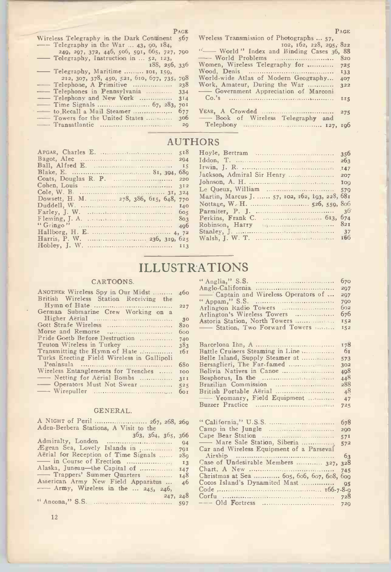| PAGE                                              | PAGE                                     |
|---------------------------------------------------|------------------------------------------|
| Wireless Telegraphy in the Dark Continent 567     | Wreless Transmission of Photographs  57. |
| $\frac{1}{2}$ Telegraphy in the War  43, 90, 184, | 102, 102, 228, 205, 822                  |
| 249, 297, 372, 446, 506, 591, 665, 727, 790       | "- World" Index and Binding Cases 36, 88 |
| — Telegraphy, Instruction in $\ldots$ 52, 123,    |                                          |
| 188, 256, 336                                     | Women, Wireless Telegraphy for  725      |
| — Telegraphy, Maritime  101, 159,                 |                                          |
| 212, 307, 378, 450, 521, 610, 677, 735, 798       | World-wide Atlas of Modern Geography 407 |
|                                                   | Work, Amateur, During the War  322       |
| - Telephones in Pennsylvania  334                 | - Government Appreciation of Marconi     |
| - Telephony and New York  314                     |                                          |
|                                                   |                                          |
|                                                   |                                          |
|                                                   | -Book of Wireless Telegraphy and         |
|                                                   |                                          |
|                                                   |                                          |

| Wireless Telegraphy in the Dark Contanent 507 Wreless Transmission of Photographs57, |                                                                             |
|--------------------------------------------------------------------------------------|-----------------------------------------------------------------------------|
| —— Telegraphy in the War $$ 43, 90, 184,                                             | 102, 102, 228, 205, 822<br>and the control of the control of the control of |
| 249, 297, 372, 446, 506, 591, 665, 727, 790                                          | "- World" Index and Binding Cases 36, 88                                    |
| - Telegraphy, Instruction in  52, 123,                                               |                                                                             |
| 188, 256, 336                                                                        |                                                                             |
| $-$ Telegraphy, Maritime  101, 159,                                                  |                                                                             |
| 212, 307, 378, 450, 521, 610, 677, 735, 798                                          | World-wide Atlas of Modern Geography 407                                    |
|                                                                                      |                                                                             |
|                                                                                      | - Government Appreciation of Marconi                                        |
|                                                                                      |                                                                             |
|                                                                                      |                                                                             |
|                                                                                      |                                                                             |
|                                                                                      | -Book of Wireless Telegraphy and                                            |
| $\sim$ Transatlantic $\sim$ $\sim$ $\sim$ $\sim$ 20                                  | Telephony 527 Tob                                                           |

### AUTHORS

| Dowsett, H. M.  278, 386, 615, 648, 770 | Martin, Marcus J.  57, 102, 162, 193, 228, 681 |  |
|-----------------------------------------|------------------------------------------------|--|
|                                         |                                                |  |
|                                         |                                                |  |
|                                         |                                                |  |
|                                         |                                                |  |
|                                         |                                                |  |
|                                         |                                                |  |
|                                         |                                                |  |
|                                         |                                                |  |

| Dowsett, H. M.  278, 386, 615, 648, 770 | Martin, Marcus J.  57, 102, 162, 193, 228, 681 |  |
|-----------------------------------------|------------------------------------------------|--|
|                                         |                                                |  |
|                                         |                                                |  |
|                                         |                                                |  |
|                                         |                                                |  |
|                                         |                                                |  |
|                                         |                                                |  |

### ILLUSTRATIONS

### CARTOONS.

| ANOTHER Wireless Spy in Our Midst          | 460        | <b>TITET</b> |
|--------------------------------------------|------------|--------------|
| British Wireless Station Receiving the     |            | " Ap         |
|                                            | 227        | Arlin        |
| German Submarine Crew Working on a         |            | Arlin        |
|                                            | 30         | Astor        |
| Gott Strafe Wireless                       | 820        | $\sim$       |
|                                            | 600        |              |
| Pride Goeth Before Destruction             | 740        |              |
| Teuton Wireless in Turkey                  | 383        | Barco        |
| Transmitting the Hymn of Hate              | 161        | Battl        |
| Turks Erecting Field Wireless in Gallipoli |            | Belle        |
|                                            | <b>680</b> | Bersa        |
| Wireless Entanglements for Trenches        | <b>IOO</b> | Boliv        |
| - Netting for Aerial Bombs                 | 3 I I      | Bosp         |
| - Operators Must Not Swear                 | 525        | Brazi        |
|                                            | бо т       | Britis       |
|                                            |            |              |

#### GENERAL.

| A NIGHT of Peril  267, 268, 269           |                | "Calife    |
|-------------------------------------------|----------------|------------|
| Aden-Berbera Stations, A Visit to the     |                | Camp i     |
| 363, 364, 365, 366                        |                | $C2pe$ B   |
|                                           | 94             | $- M$      |
| Ægean Sea, Lovely Islands in              | 791            | Car and    |
| Aërial for Reception of Time Signals  289 |                | Airsh      |
|                                           | I <sub>3</sub> | Case of    |
| Alaska, Juneau-the Capital of             | 147            | Chart,     |
| - Trappers' Summer Quarters               | 148            | Christm    |
| American Army New Field Apparatus  46     |                | Cocos I    |
| - Army, Wireless in the  245, 246,        |                | Code       |
| 247, 248                                  |                | Corfu      |
|                                           |                | $  \Omega$ |
|                                           |                |            |

|                                          | Anglo-California                    | 207 |  |
|------------------------------------------|-------------------------------------|-----|--|
| 160                                      | - Captain and Wireless Operators of | 207 |  |
|                                          |                                     | 700 |  |
| 227                                      |                                     |     |  |
|                                          | Arlington's Wireless Towers  676    |     |  |
| $\begin{array}{c} 30 \\ 820 \end{array}$ |                                     |     |  |
| 600                                      | -Station, Two Forward Towers  152   |     |  |
|                                          |                                     |     |  |

| 383        |                                  |      |  |
|------------|----------------------------------|------|--|
| 161        | Battle Cruisers Steaming in Line | - 61 |  |
|            | Belle Island, Supply Steamer at  | 573  |  |
| 680        |                                  | 302  |  |
| <b>IOO</b> | Bolivia Natives in Canoe         | 408  |  |
| <b>3II</b> |                                  | 448  |  |
| 525        |                                  | 288  |  |
| бо г       |                                  | 48   |  |
|            | Yeomanry, Field Equipment        | 47   |  |
|            | Buzzer Practice                  | 725  |  |
|            |                                  |      |  |

| 26a            |                                           | 678 |
|----------------|-------------------------------------------|-----|
|                |                                           | 200 |
| 366            |                                           | 57I |
| 94             | - Mare Sale Station, Siberia              | 572 |
| <b>70I</b>     | Car and Wireless Equipment of a Parseval  |     |
| 28g            |                                           | 63  |
| I <sub>3</sub> | Case of Undesirable Members  327, 328     |     |
| 147            |                                           |     |
| 148            | Christmas at Sea  605, 606, 607, 608, 600 |     |
| 46             |                                           |     |
|                |                                           |     |
| 248            |                                           | 728 |
| 597            |                                           |     |
|                |                                           |     |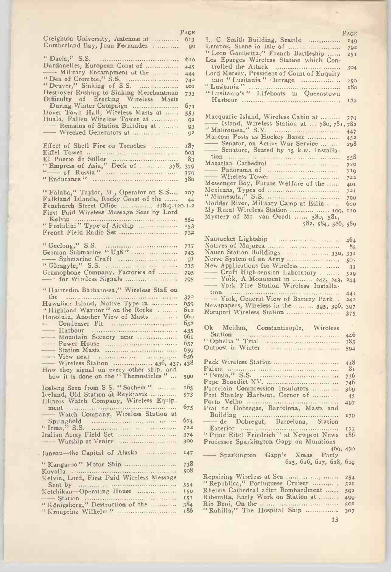|                                                                                                                                | PAGE           |
|--------------------------------------------------------------------------------------------------------------------------------|----------------|
| Creighton University, Antennæ at                                                                                               | 613            |
| Cumberland Bay, Juan Fernandez                                                                                                 | 90             |
|                                                                                                                                | 610            |
| Dardanelles, European Coast of                                                                                                 | 445            |
| - Military Encampment at the                                                                                                   | 444            |
|                                                                                                                                | 742            |
| "Denver," Sinking of S.S.                                                                                                      | 101            |
| Destroyer Rushing to Sinking Merchantman<br>Difficulty of Erecting Wireless Masts                                              | 733            |
| During Winter Campaign                                                                                                         | 671            |
| Dover Town Hall, Wireless Masts at                                                                                             | 553            |
| Duala, Fallen Wireless Tower at                                                                                                | Q <sub>2</sub> |
| -Remains of Station Building at                                                                                                | 93             |
| - Wrecked Generators at                                                                                                        | 9 <sup>2</sup> |
| Effect of Shell Fire on Trenches                                                                                               | 187            |
|                                                                                                                                | 603            |
|                                                                                                                                | -83            |
|                                                                                                                                | 379            |
|                                                                                                                                | 379            |
|                                                                                                                                | 380            |
| "Falaba," Taylor, M., Operator on S.S,                                                                                         | 107            |
|                                                                                                                                |                |
| Falkland Islands, Rocky Coast of the  44<br>Fenchurch Street Office  118-9-120-1-2<br>First Paid Wireless Message Sent by Lord |                |
|                                                                                                                                |                |
| "Forlalini" Type of Airship                                                                                                    | 554            |
| French Field Radio Set                                                                                                         | 253<br>732     |
|                                                                                                                                |                |
|                                                                                                                                | 737            |
|                                                                                                                                | 743            |
|                                                                                                                                | 91             |
| Gramophone Company, Factories of                                                                                               | 735            |
|                                                                                                                                | 795<br>795     |
|                                                                                                                                |                |
| "Hairredin Barbarossa," Wireless Staff on<br>the                                                                               | 372            |
| Hawaiian Island, Native Type in                                                                                                | 659            |
| "Highland Warrior" on the Rocks                                                                                                | 612            |
| Honolulu, Another View of Masts                                                                                                | 660            |
| Condenser Pit<br>Harbour<br>1990 - Harbour                                                                                     | 658            |
| Mountain Scenery near                                                                                                          | 435<br>661     |
|                                                                                                                                | 657            |
|                                                                                                                                | 659            |
|                                                                                                                                | 656            |
| - Wireless Station  436, 437,                                                                                                  | 438            |
| How they signal on every other ship, and<br>how it is done on the "Themosticles"                                               |                |
|                                                                                                                                | 590            |
| Iceberg Seen from S.S. "Sachem"                                                                                                | 165            |
| Iceland, Old Station at Reykjavik                                                                                              | 573            |
| Illinois Watch Company, Wireless Equip-<br>ment                                                                                | 675            |
| , , , , <b>, , , , , , , ,</b> ,<br>- Watch Company, Wireless Station at                                                       |                |
| Springfield                                                                                                                    | 674            |
| $``$ Irma," S.S.                                                                                                               | 722            |
|                                                                                                                                | 374            |
|                                                                                                                                | 300            |
| Juneau-the Capital of Alaska                                                                                                   | 147            |
| "Kangaroo" Motor Ship                                                                                                          | 738            |
|                                                                                                                                | 508            |
| Kelvin, Lord, First Paid Wireless Message                                                                                      |                |
|                                                                                                                                | 554            |
| Ketchikan-Operating House                                                                                                      | 150            |
|                                                                                                                                | 151<br>384     |
|                                                                                                                                | I86            |
|                                                                                                                                |                |

|                                                                        | FAGE            |
|------------------------------------------------------------------------|-----------------|
| L. C. Smith Building, Seattle                                          | 149             |
| Lemnos, Scene in Isle of                                               | 792             |
|                                                                        |                 |
| "Leon Gambetta," French Battleship                                     | 25I             |
| Les Eparges Wireless Station which Con-                                |                 |
|                                                                        | 304             |
| Lord Mersey, President of Court of Enquiry                             |                 |
|                                                                        |                 |
| into "Lusitania" Outrage                                               | 250             |
|                                                                        | 180             |
| "Lusitania's" Lifeboats in Queenstown                                  |                 |
|                                                                        |                 |
|                                                                        | 182             |
|                                                                        |                 |
|                                                                        |                 |
| Macquarie Island, Wireless Cabin at                                    | 779             |
| Island, Wireless Station at  780, 781, 782                             |                 |
|                                                                        |                 |
|                                                                        | 447             |
| "Mahroussa," S.Y.<br>Marconi Posts as Hockey Bases                     | 452             |
| -Senator, on Active War Service                                        | 208             |
|                                                                        |                 |
| - Senatore, Seated by 15 k.w. Installa-                                |                 |
|                                                                        | 558             |
|                                                                        | 720             |
|                                                                        |                 |
|                                                                        | 719             |
|                                                                        | 722             |
| Messenger Boy, Future Welfare of the                                   | 40I             |
|                                                                        | 72I             |
|                                                                        |                 |
|                                                                        | 799             |
| Modder River, Military Camp at Eslin                                   | 620             |
| My Rural Wireless Station  109,                                        | IIO             |
| Mystery of Mr. van Oordt  580, 581,                                    |                 |
|                                                                        |                 |
| 582, 584, 586,                                                         | 589             |
|                                                                        |                 |
|                                                                        |                 |
|                                                                        | 464             |
| Nantucket Lightship<br>Natives of Majorca                              | 85              |
|                                                                        |                 |
|                                                                        | 331             |
| Nerve System of an Army                                                | 507             |
| New Applications for Wireless                                          | 33              |
| - Cruft High-tension Laboratory                                        |                 |
|                                                                        | 529             |
|                                                                        | 244             |
|                                                                        |                 |
|                                                                        |                 |
| Vork, A Monument in  242, 243,<br>Vork Fire Station Wireless Installa- |                 |
|                                                                        | 44 <sup>T</sup> |
| - York, General View of Battery Park                                   | 242             |
| Newspapers, Wireless in the  395, 396,                                 | 397             |
|                                                                        |                 |
| Nieuport Wireless Station                                              | 375             |
|                                                                        |                 |
|                                                                        | $\circ$         |
|                                                                        |                 |
| Ok Meidan, Constantinople, Wireless<br>Station                         | 446             |
|                                                                        | 185             |
|                                                                        | 594             |
|                                                                        |                 |
|                                                                        |                 |
|                                                                        | 448             |
|                                                                        | 81              |
|                                                                        |                 |
|                                                                        | 736             |
|                                                                        | 746             |
| Porcelain Compression Insulators                                       | 3бо             |
| Port Stanley Harbour, Corner of                                        | 45              |
|                                                                        |                 |
|                                                                        | 497             |
|                                                                        |                 |
|                                                                        | 179             |
|                                                                        |                 |
| Building<br>— de Dobregat, Barcelona, Station                          |                 |
| Exterior                                                               | 177             |
| "Prinz Eitel Friedrich" at Newport News                                | 186             |
| Professor Sparkington Gapp on Munitions                                |                 |
| 469.                                                                   |                 |
|                                                                        | 470             |
| - Sparkington Gapp's Xmas<br>Party                                     |                 |
| 625, 626, 627, 628, 629                                                |                 |
|                                                                        |                 |
|                                                                        |                 |
|                                                                        | 254             |
| "Republica," Portuguese Cruiser                                        | 521             |
|                                                                        |                 |
| Rheims Cathedral after Bombardment                                     | 592             |
| Riberalta, Early Work on Station at                                    | 499             |
|                                                                        | 501             |
|                                                                        | 307             |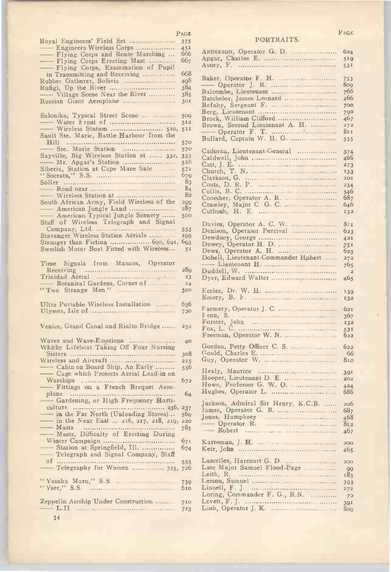|                                                                              | PAGE           |                            |
|------------------------------------------------------------------------------|----------------|----------------------------|
| Royal Engineers' Field Set                                                   | 375            |                            |
| - Engineers Wireless Corps                                                   | 45I            |                            |
| - Flying Corps and Route Marching                                            | 666            | ANDER!                     |
|                                                                              |                | Apgar,                     |
| - Flying Corps Erecting Mast                                                 | 667            | Avory,                     |
| -Flying Corps, Examination of Pupil                                          |                |                            |
| in Transmitting and Receiving                                                | 668            |                            |
| Rubber Gatherer, Bolivia                                                     | 498            | Baker,                     |
|                                                                              | 384            | $\overline{\phantom{0}}$ 0 |
|                                                                              | 385            | Balcom                     |
| - Village Scene Near the River                                               |                | Batche.                    |
| Russian Giant Aeroplane                                                      | <b>301</b>     | Befahy                     |
|                                                                              |                |                            |
| Salonika, Typical Street Scene                                               | 500            | Berg, .                    |
|                                                                              | 512            | Brock,                     |
|                                                                              | 5II            | Brown,                     |
| Sault Ste. Marie, Battle Harbour from the                                    |                | $\overline{\phantom{0}}$ 0 |
|                                                                              |                | Bullard                    |
|                                                                              | 570            |                            |
|                                                                              | 570            | Cadorn                     |
| Sayville, Big Wireless Station at  332,                                      | 333            | Caldwe                     |
|                                                                              | 518            |                            |
| Siberia, Station at Cape Mare Sale                                           | 572            | Catt, J                    |
|                                                                              | 679            | Church                     |
|                                                                              | 83             | Clarkso                    |
|                                                                              |                | Coats,                     |
|                                                                              | 84             | Collis,                    |
|                                                                              | 8 <sub>2</sub> | Coomb                      |
| South African Army, Field Wireless of the                                    | 200            | Crawle                     |
| - American Jungle Land                                                       | 287            | Cutbus                     |
| - American Typical Jungle Scenery                                            | 500            |                            |
| Staff of Wireless Telegraph and Signal                                       |                |                            |
|                                                                              |                | Davies                     |
|                                                                              | 555            | Deniso                     |
|                                                                              | <b>199</b>     | Dewdn                      |
| Stranger than Fiction  690, 691,                                             | 693            | Dewey                      |
| Swedish Motor Boat Fitted with Wireless                                      | 5 <sub>I</sub> | Dews,                      |
|                                                                              |                |                            |
|                                                                              |                | Dobell                     |
| Time Signals from Manaos, Operator                                           |                | ---- L                     |
|                                                                              | 289            | $\mathbf{D}$ uddel         |
| Receiving<br>Trinidad Aërial                                                 | <b>I3</b>      | Dyer,                      |
| Botanical Gardens, Corner of                                                 | $X_4$          |                            |
|                                                                              | 320            | Eccles,                    |
|                                                                              |                |                            |
|                                                                              |                | Emery.                     |
| Ultra Portable Wireless Installation                                         | 636            | F armer                    |
|                                                                              | 730            |                            |
|                                                                              |                | I enn,                     |
| Venice, Grand Canal and Rialto Bridge                                        | 252            | Forster                    |
|                                                                              |                | Fox, L                     |
|                                                                              |                | Freema                     |
| Waves and Wave-Emotions                                                      | 40             |                            |
| Whitby Lifeboat Taking Off Four Nursing                                      |                | Gordor                     |
|                                                                              | 308            | Gould,                     |
| Wireless and Aircraft                                                        | 215            | Guy, (                     |
|                                                                              |                |                            |
| Cabin on Board Ship, An Early<br>Cage which Protects Aerial Lead-in on       | 556            | Healy,                     |
|                                                                              |                | Hooper                     |
|                                                                              | 672            | Howe,                      |
| - Fittings on a French Brequet Aero-                                         |                |                            |
|                                                                              | 64             | $H$ ughes                  |
| - Gardening, or High Frequency Horti-                                        |                |                            |
|                                                                              |                | Jacksor                    |
|                                                                              | 560            | James,                     |
| in the Far North (Unloading Stores)<br>in the Near East  216, 217, 218, 219, |                | Jones,                     |
|                                                                              | 220            | $\overline{\phantom{0}}$ 0 |
| - Masts<br>.                                                                 | 785            | $\mathbb{R}$               |
| - Masts, Difficulty of Erecting During                                       |                |                            |
|                                                                              | 671            | Karren                     |
| - Station at Springfield, Ill.                                               | 674            | Keir, J                    |
| - Telegraph and Signal Company, Staff                                        |                |                            |
|                                                                              |                | Lascell                    |
|                                                                              | 555            |                            |
| - Telegraphy for Women  725,                                                 | 726            | Late M                     |
|                                                                              |                | Leith,                     |
|                                                                              | 739            | Lemon.                     |
| "Yser," S.S.                                                                 | 610            | Linnell                    |
|                                                                              |                | Loring                     |
| Zeppelin Airship Under Construction                                          | 710            | Lovett,                    |
|                                                                              |                |                            |
| - L.II                                                                       | 7I3            | Lush, 0                    |
| 14                                                                           |                |                            |
|                                                                              |                |                            |

### PORTRAITS.

| 666            | ANDERSON, Operator G. D.            | 624             |  |
|----------------|-------------------------------------|-----------------|--|
| 667            |                                     | 519             |  |
|                |                                     | 53I             |  |
| 668            |                                     |                 |  |
| 498            |                                     | 753<br>80g      |  |
| 384            |                                     | 766             |  |
| 385            | Batchelor, James Leonard            | 466             |  |
| <b>301</b>     |                                     | 700             |  |
|                |                                     | 790             |  |
| 509            |                                     | 407             |  |
| 512            | Brown, Second Lieutenant A. H.      | 272             |  |
| 5II            |                                     | 811             |  |
|                | Bullard, Captain W. H. G.           | 355             |  |
| 570            |                                     |                 |  |
| 570<br>333     | Cadorna, Lieutenant-General         | 374             |  |
| 518            |                                     | 466             |  |
| 572            |                                     | 273             |  |
| 679            |                                     | 133             |  |
| 83             |                                     | 20I             |  |
| 84             |                                     | 234             |  |
| 8 <sub>2</sub> |                                     | 546<br>687      |  |
| 200            |                                     | 646             |  |
| 287            |                                     | 132             |  |
| 500            |                                     |                 |  |
|                |                                     | 81 I            |  |
| 555            |                                     | 623             |  |
| <b>199</b>     |                                     | 421             |  |
| 693            |                                     | 751             |  |
| 5I             |                                     | 623             |  |
|                | Dobell, Lieutenant-Commander Hubert | 272             |  |
|                |                                     | 705             |  |
| 28g            |                                     | $\overline{a}$  |  |
| <b>I3</b>      |                                     | 465             |  |
| $X_4$<br>320   |                                     |                 |  |
|                |                                     | 139             |  |
| 636            |                                     | 132             |  |
| 730            |                                     | 621             |  |
|                |                                     | 367             |  |
|                |                                     | 132             |  |
| 252            |                                     | 53I             |  |
|                |                                     | 622             |  |
| 40             | Gordon, Petty Officer C. S.         | 622             |  |
| 308            |                                     | 66              |  |
| 215            |                                     | 810             |  |
| 556            |                                     |                 |  |
|                |                                     | 391             |  |
| 672            |                                     | 202             |  |
|                | Howe, Professor G. W. O.            | 424             |  |
| 64             |                                     | 686             |  |
|                | Jackson, Admiral Sir Henry, K.C.B.  | 20 <sub>0</sub> |  |
| 237            | James, Operator G. B.               | 687             |  |
| 569            |                                     | 468             |  |
| 220            | Jones, Humphrey<br>Operator R.      | 812             |  |
| 785            | Robert                              | 467             |  |
|                |                                     |                 |  |
| 671            |                                     | 200             |  |
| 674            |                                     | 465             |  |
|                | Lascelles, Harcourt G. D.           |                 |  |
| 555<br>726     |                                     | 200             |  |
|                |                                     | 99<br>183       |  |
| 739            |                                     | 393             |  |
| 610            |                                     | 272             |  |
|                | Loring, Commander F. G., R.N.       | 70              |  |
| 710            |                                     | 39I             |  |
| 7I3            |                                     | 80g             |  |
|                |                                     |                 |  |

PAGE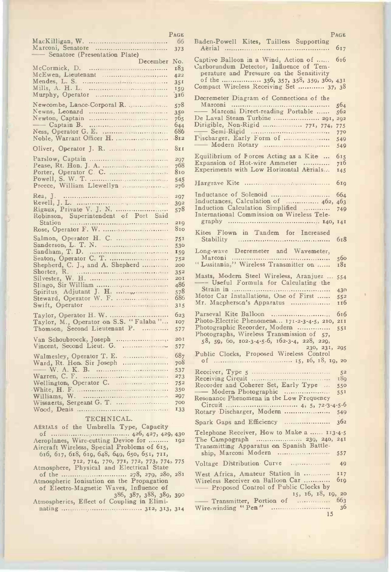|                                          | PAGE            |                                                | PAGE            |
|------------------------------------------|-----------------|------------------------------------------------|-----------------|
|                                          | 66              | Baden-Powell Kites, Tailless Supporting        |                 |
|                                          |                 |                                                | 6 <sub>17</sub> |
| - Senatore (Presentation Plate)          |                 |                                                |                 |
| December No.                             |                 | Captive Balloon in a Wind, Action of           | 616             |
|                                          | 183             | Carborundum Detector, Influence of Tem-        |                 |
|                                          |                 | perature and Pressure on the Sensitivity       |                 |
|                                          | 35I             | of the  356, 357, 358, 359, 360, 431           |                 |
|                                          |                 | Compact Wireless Receiving Set  37, 38         |                 |
|                                          |                 |                                                |                 |
|                                          | 310             | Decremeter Diagram of Connections of the       |                 |
|                                          | 578             |                                                | 564             |
|                                          | 350             | - Marconi Direct-reading Portable              | 562             |
|                                          |                 | De Laval Steam Turbine  291, 292               |                 |
|                                          |                 | Dirigible, Non-Rigid  771, 774, 775            |                 |
|                                          |                 |                                                | 770             |
|                                          |                 |                                                |                 |
|                                          |                 |                                                | 549             |
|                                          | 811             |                                                | 549             |
|                                          |                 | Equilibrium of Forces Acting as a Kite         | 615             |
|                                          | 297             | Expansion of Hot-wire Ammeter                  | 716             |
|                                          | 768             |                                                |                 |
|                                          | 810             | Experiments with Low Horizontal Aerials        | 145             |
|                                          | 545             |                                                |                 |
| Preece, William Llewellyn                | 276             |                                                | 6Iq             |
|                                          |                 |                                                |                 |
|                                          | 207             |                                                |                 |
|                                          | 392             | Inductances, Calculation of  462, 463          |                 |
| Rigaux, Private V. J. N.                 | 578             | Induction Calculation Simplified               | 749             |
| Robinson, Superintendent of Port Said    |                 | International Commission on Wireless Tele-     |                 |
|                                          | 219             |                                                |                 |
|                                          | 810             |                                                |                 |
|                                          |                 | Kites Flown in Tandem for Increased            |                 |
|                                          | 751             | Stability                                      | 618             |
| Sanderson, L. T. N.                      | 530             |                                                |                 |
|                                          | 159             | Long-wave Decremeter and Wavemeter,            |                 |
|                                          | 752             |                                                | 560             |
| Shepherd, C. J., and A. Shepherd         | 200             | "Lusitania," Wireless Transmitter on           | <b>181</b>      |
|                                          | 35 <sup>2</sup> |                                                |                 |
|                                          | 20I             | Masts, Modern Steel Wireless, Aranjuez  554    |                 |
|                                          | 486             | --- Useful Formula for Calculating the         |                 |
| Spiritus Adjutant J. H. $\ldots$         | 578             |                                                | 430             |
| Steward, Operator W. F.                  | 686             | Motor Car Installations, One of First          | 552             |
|                                          | 315             | Mr. Macpherson's Apparatus                     | 110             |
|                                          |                 |                                                |                 |
|                                          | 623             |                                                |                 |
| Taylor, M., Operator on S.S. "Falaba"    | IO7             | Photo-Electric Phenomena 171-2-3-4-5, 210, 211 |                 |
| Thomson, Second Lieutenant P.            | 577             |                                                |                 |
|                                          |                 | Photographs, Wireless Transmission of 57,      |                 |
| Van Schoubroeck, Joseph                  | <b>201</b>      | $58, 59, 60, 102-3-4-5-6, 162-3-4, 228, 229,$  |                 |
|                                          | 577             | 230, 231, 295                                  |                 |
|                                          | 687             | Public Clocks, Proposed Wireless Control       |                 |
| Walmesley, Operator T. E.                | 708             |                                                |                 |
| Ward, Rt. Hon. Sir Joseph                |                 |                                                |                 |
|                                          | 537             |                                                | 52              |
|                                          | 273             |                                                | 180             |
|                                          | 752             | Recorder and Coherer Set, Early Type           | 550             |
|                                          | 350             |                                                | 551             |
|                                          | 297             | Resonance Phenomena in the Low Frequency       |                 |
|                                          | 700             |                                                |                 |
|                                          | <b>I33</b>      |                                                | 549             |
|                                          |                 |                                                |                 |
| TECHNICAL.                               |                 |                                                | 362             |
| AERIALS of the Umbrella Type, Capacity   |                 |                                                |                 |
|                                          |                 | Telephone Receiver, How to Make a  113-4-5     |                 |
| Aeroplanes, Wire-cutting Device for  192 |                 | The Campograph  239, 240, 241                  |                 |

Atmospherics, Effect of Coupling in Eliminating 312, 313, 314

| $\qquad \qquad \textbf{Captain } B. \quad \ldots \ldots \ldots \ldots \ldots \ldots \ldots \ldots \ldots \ldots \ldots$ | 644               | Dirigible, Non-Rigid  771, 774, 775                                      |                |
|-------------------------------------------------------------------------------------------------------------------------|-------------------|--------------------------------------------------------------------------|----------------|
|                                                                                                                         | 686               |                                                                          |                |
|                                                                                                                         | 312               |                                                                          |                |
|                                                                                                                         | 811               |                                                                          | 549            |
|                                                                                                                         |                   | Equilibrium of Forces Acting as a Kite                                   | 615            |
|                                                                                                                         | 207<br>768        | Expansion of Hot-wire Ammeter                                            | 716            |
|                                                                                                                         | 810               | Experiments with Low Horizontal Aërials                                  | 145            |
|                                                                                                                         | 545               |                                                                          |                |
| Preece, William Llewellyn                                                                                               | 276               |                                                                          | 6Iq            |
|                                                                                                                         |                   |                                                                          |                |
|                                                                                                                         | 207               | Inductances, Calculation of  462, 463                                    |                |
| Rigaux, Private V. J. N.                                                                                                | 392<br>578        |                                                                          |                |
| Robinson, Superintendent of Port Said                                                                                   |                   | International Commission on Wireless Tele-                               |                |
|                                                                                                                         | 210               |                                                                          |                |
|                                                                                                                         | 810               | Kites Flown in Tandem for Increased                                      |                |
|                                                                                                                         | 751               |                                                                          | 618            |
|                                                                                                                         | 530               |                                                                          |                |
|                                                                                                                         | 159               | Long-wave Decremeter and Wavemeter,                                      |                |
|                                                                                                                         | 752               |                                                                          | 560            |
| Shepherd, C. J., and A. Shepherd                                                                                        | 200               | "Lusitania," Wireless Transmitter on                                     | ISI            |
| Shorter, R.                                                                                                             | 35 <sup>2</sup>   | Masts, Modern Steel Wireless, Aranjuez  554                              |                |
|                                                                                                                         | <b>20I</b><br>486 | ---- Useful Formula for Calculating the                                  |                |
| Spiritus Adjutant J. H. $\ldots$                                                                                        | 578               |                                                                          |                |
| Steward, Operator W. F.                                                                                                 | 686               | Motor Car Installations, One of First  552                               |                |
|                                                                                                                         | 315               | Mr. Macpherson's Apparatus  116                                          |                |
|                                                                                                                         |                   |                                                                          |                |
| Taylor, M., Operator on S.S. "Falaba"                                                                                   | 623<br>107        | Photo-Electric Phenomena 171-2-3-4-5, 210, 211                           |                |
| Thomson, Second Lieutenant P.                                                                                           | 577               |                                                                          |                |
|                                                                                                                         |                   | Photographs, Wireless Transmission of 57,                                |                |
| Van Schoubroeck, Joseph                                                                                                 | 201               | $58, 59, 60, 102-3-4-5-6, 162-3-4, 228, 229,$                            |                |
|                                                                                                                         | 577               | 230, 231, 295                                                            |                |
| Walmesley, Operator T. E.                                                                                               | 687               | Public Clocks, Proposed Wireless Control                                 |                |
| Ward, Rt. Hon. Sir Joseph                                                                                               | 700               |                                                                          |                |
|                                                                                                                         | 537               |                                                                          | 5 <sup>2</sup> |
|                                                                                                                         | 273               |                                                                          | 180            |
|                                                                                                                         | 752<br>350        | Recorder and Coherer Set, Early Type                                     | 550            |
|                                                                                                                         | 297               | —— Modern Photographic                                                   | 551            |
|                                                                                                                         | 700               | Resonance Phenomena in the Low Frequency                                 |                |
|                                                                                                                         | 133               |                                                                          |                |
| TECHNICAL.                                                                                                              |                   |                                                                          |                |
| AERIALS of the Umbrella Type, Capacity                                                                                  |                   |                                                                          |                |
|                                                                                                                         |                   | Telephone Receiver, How to Make a  113-4-5                               |                |
| Aeroplanes, Wire-cutting Device for  192                                                                                |                   | The Campograph  239, 240, 241                                            |                |
| Aircraft Wireless, Special Problems of 615,                                                                             |                   | Transmitting Apparatus on Spanish Battle-                                |                |
| 616, 617, 618, 619, 648, 649, 650, 651, 711,                                                                            |                   |                                                                          | 557            |
| 712, 714, 770, 771, 772, 773, 774, 775                                                                                  |                   | Voltage Distribution Curve                                               | 49             |
| Atmosphere, Physical and Electrical State                                                                               |                   |                                                                          |                |
|                                                                                                                         |                   | West Africa, Amateur Station in                                          | II7<br>010     |
| Atmospheric Ionisation on the Propagation                                                                               |                   | Wireless Receiver on Balloon Car<br>Proposed Control of Public Clocks by |                |
| of Electro-Magnetic Waves, Influence of<br>386, 387, 388, 389, 390                                                      |                   | 15, 16, 18, 19, 20                                                       |                |
| Atmospherics, Effect of Coupling in Elimi-                                                                              |                   | Transmitter, Portion of  663                                             |                |
|                                                                                                                         |                   |                                                                          | 3 <sup>6</sup> |

#### PAGE